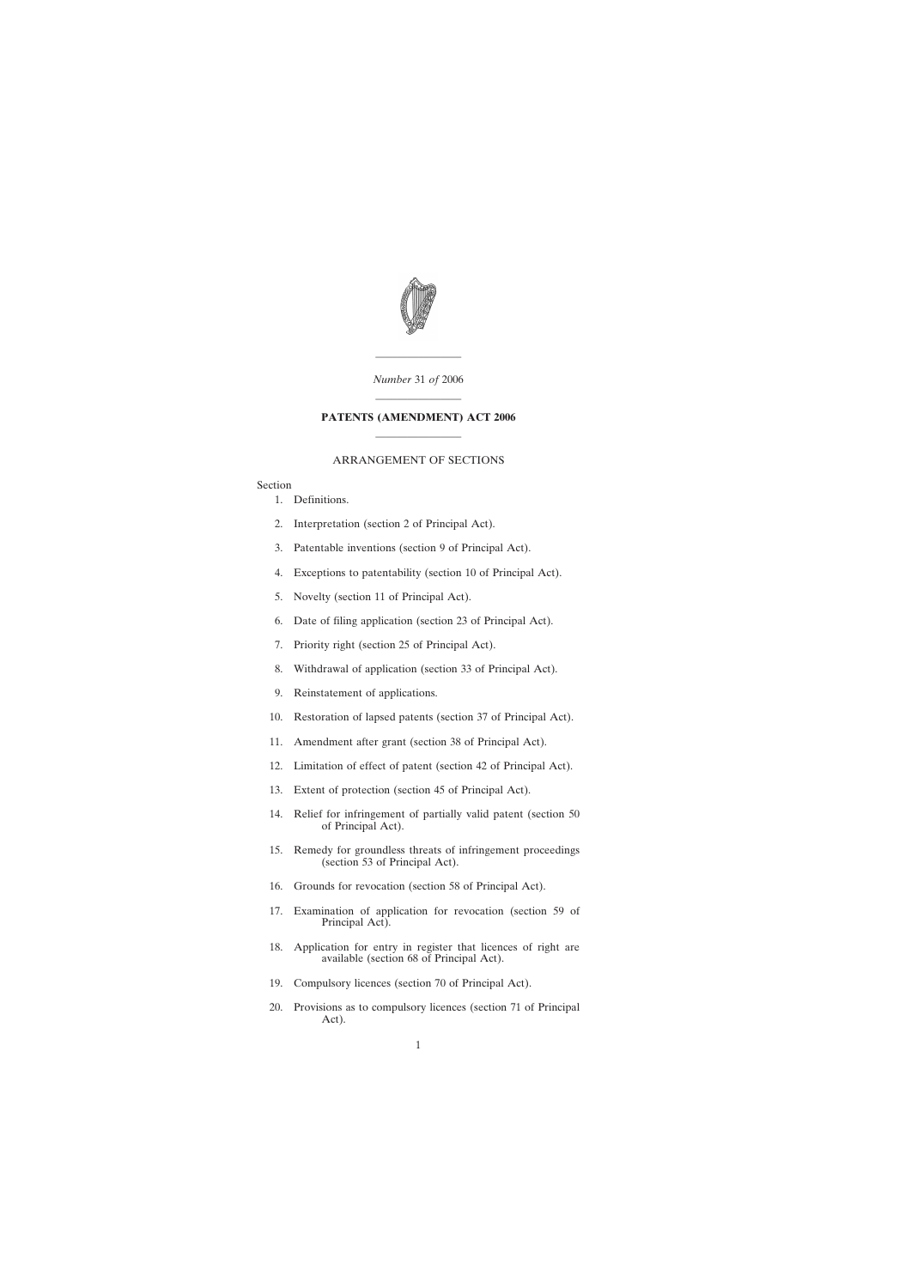

———————— *Number* 31 *of* 2006

# ———————— **PATENTS (AMENDMENT) ACT 2006** ————————

## ARRANGEMENT OF SECTIONS

## Section

- [1. Definitions.](#page-4-0)
- [2. Interpretation \(section 2 of Principal Act\).](#page-4-0)
- [3. Patentable inventions \(section 9 of Principal Act\).](#page-5-0)
- [4. Exceptions to patentability \(section 10 of Principal Act\).](#page-5-0)
- [5. Novelty \(section 11 of Principal Act\).](#page-6-0)
- [6. Date of filing application \(section 23 of Principal Act\).](#page-6-0)
- [7. Priority right \(section 25 of Principal Act\).](#page-8-0)
- [8. Withdrawal of application \(section 33 of Principal Act\).](#page-9-0)
- [9. Reinstatement of applications.](#page-9-0)
- [10. Restoration of lapsed patents \(section 37 of Principal Act\).](#page-11-0)
- [11. Amendment after grant \(section 38 of Principal Act\).](#page-13-0)
- [12. Limitation of effect of patent \(section 42 of Principal Act\).](#page-13-0)
- [13. Extent of protection \(section 45 of Principal Act\).](#page-13-0)
- [14. Relief for infringement of partially valid patent \(section 50](#page-13-0) of Principal Act).
- [15. Remedy for groundless threats of infringement proceedings](#page-13-0) (section 53 of Principal Act).
- [16. Grounds for revocation \(section 58 of Principal Act\).](#page-13-0)
- [17. Examination of application for revocation \(section 59 of](#page-14-0) Principal Act).
- [18. Application for entry in register that licences of right are](#page-14-0) available (section 68 of Principal Act).
- [19. Compulsory licences \(section 70 of Principal Act\).](#page-14-0)
- [20. Provisions as to compulsory licences \(section 71 of Principal](#page-16-0) Act).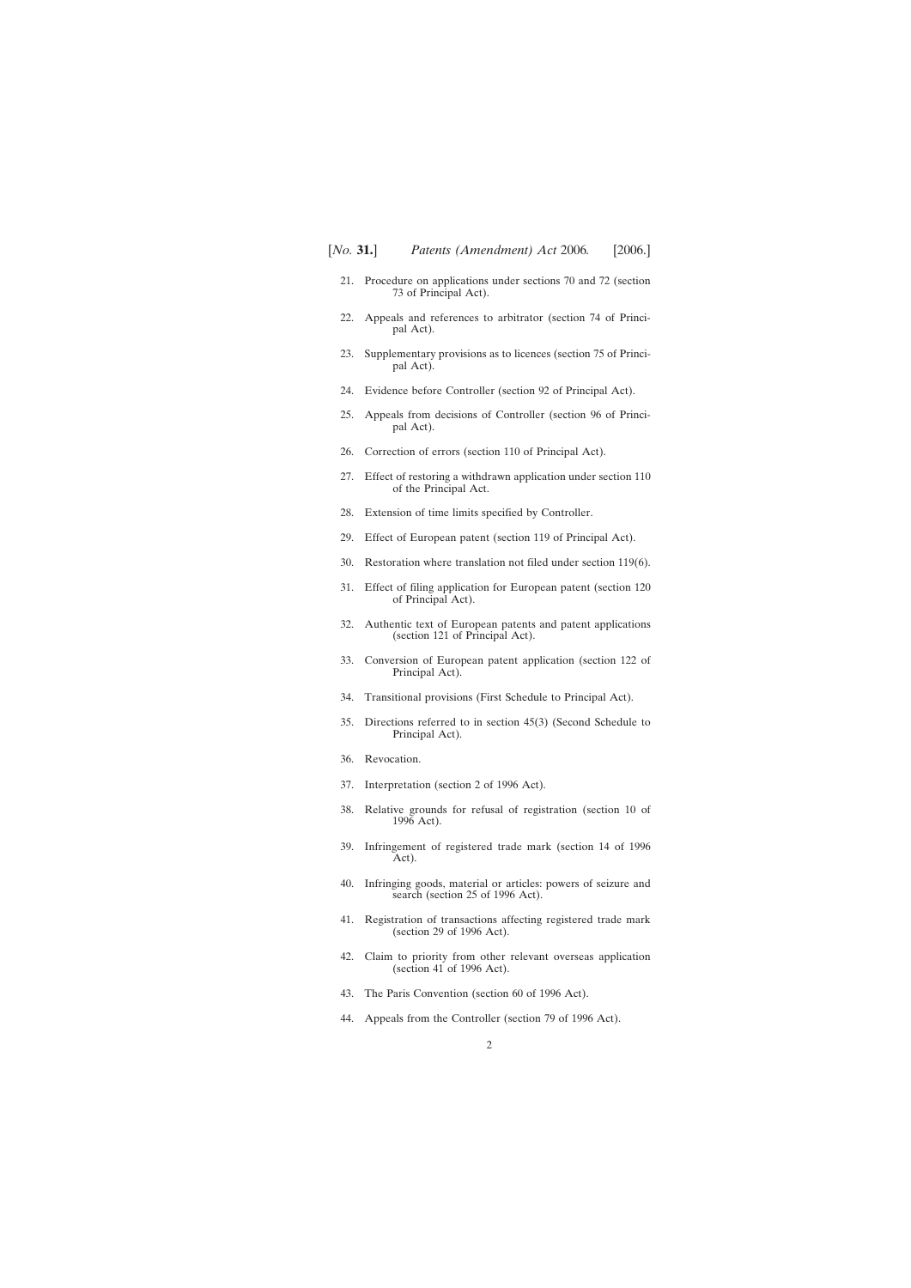- [21. Procedure on applications under sections 70 and 72 \(section](#page-17-0) 73 of Principal Act).
- [22. Appeals and references to arbitrator \(section 74 of Princi](#page-17-0)pal Act).
- [23. Supplementary provisions as to licences \(section 75 of Princi](#page-17-0)pal Act).
- [24. Evidence before Controller \(section 92 of Principal Act\).](#page-17-0)
- [25. Appeals from decisions of Controller \(section 96 of Princi](#page-17-0)pal Act).
- [26. Correction of errors \(section 110 of Principal Act\).](#page-18-0)
- [27. Effect of restoring a withdrawn application under section 110](#page-18-0) of the Principal Act.
- [28. Extension of time limits specified by Controller.](#page-20-0)
- [29. Effect of European patent \(section 119 of Principal Act\).](#page-20-0)
- [30. Restoration where translation not filed under section 119\(6\).](#page-21-0)
- [31. Effect of filing application for European patent \(section 120](#page-22-0) of Principal Act).
- [32. Authentic text of European patents and patent applications](#page-24-0) (section 121 of Principal Act).
- [33. Conversion of European patent application \(section 122 of](#page-25-0) Principal Act).
- [34. Transitional provisions \(First Schedule to Principal Act\).](#page-25-0)
- [35. Directions referred to in section 45\(3\) \(Second Schedule to](#page-25-0) Principal Act).
- [36. Revocation.](#page-26-0)
- [37. Interpretation \(section 2 of 1996 Act\).](#page-26-0)
- [38. Relative grounds for refusal of registration \(section 10 of](#page-26-0) 1996 Act).
- [39. Infringement of registered trade mark \(section 14 of 1996](#page-26-0) Act).
- [40. Infringing goods, material or articles: powers of seizure and](#page-26-0) search (section 25 of 1996 Act).
- [41. Registration of transactions affecting registered trade mark](#page-27-0) (section 29 of 1996 Act).
- [42. Claim to priority from other relevant overseas application](#page-27-0) (section 41 of 1996 Act).
- [43. The Paris Convention \(section 60 of 1996 Act\).](#page-27-0)
- [44. Appeals from the Controller \(section 79 of 1996 Act\).](#page-27-0)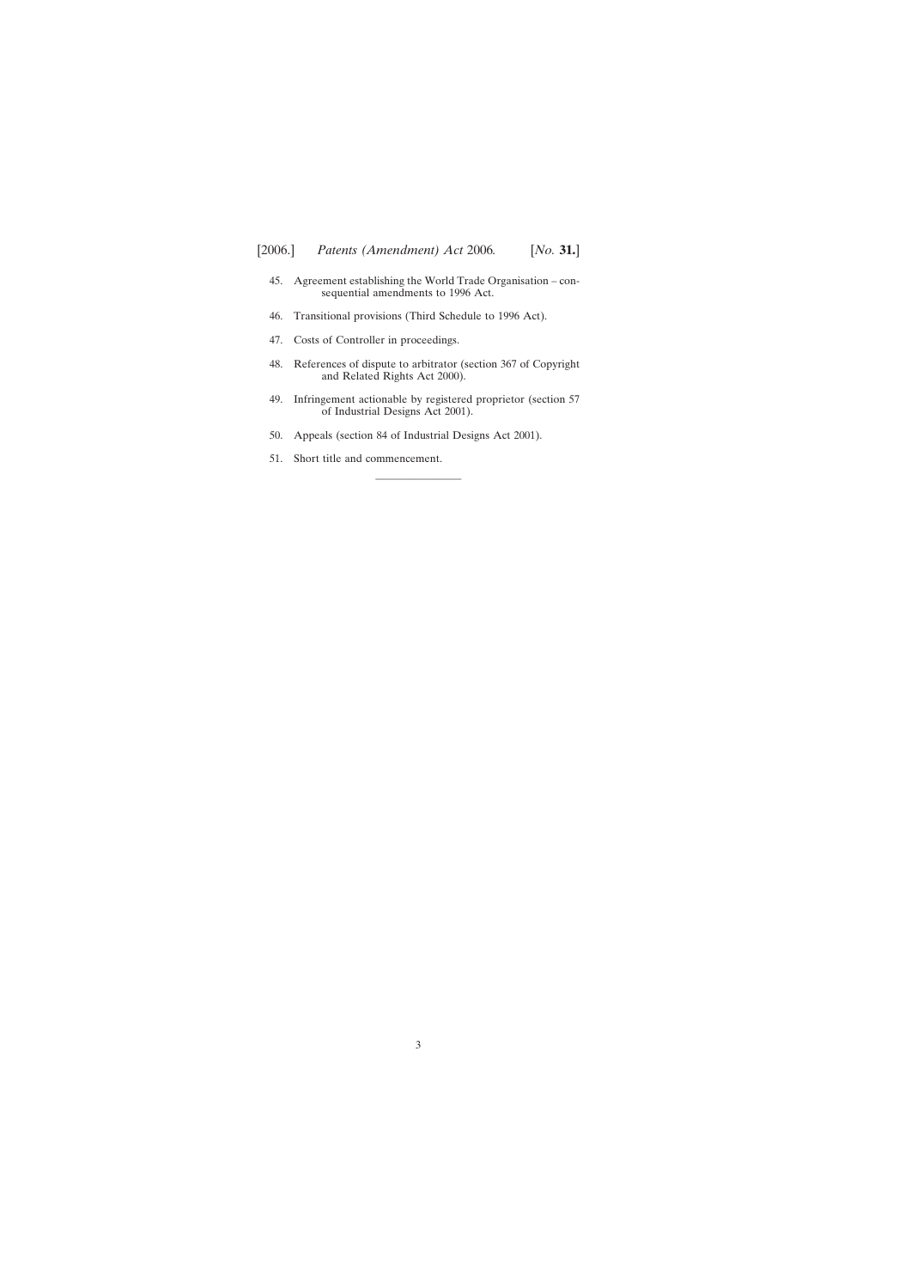- [45. Agreement establishing the World Trade Organisation con](#page-28-0)sequential amendments to 1996 Act.
- [46. Transitional provisions \(Third Schedule to 1996 Act\).](#page-28-0)
- [47. Costs of Controller in proceedings.](#page-28-0)
- [48. References of dispute to arbitrator \(section 367 of Copyright](#page-28-0) and Related Rights Act 2000).
- [49. Infringement actionable by registered proprietor \(section 57](#page-29-0) of Industrial Designs Act 2001).

————————

- [50. Appeals \(section 84 of Industrial Designs Act 2001\).](#page-29-0)
- [51. Short title and commencement.](#page-29-0)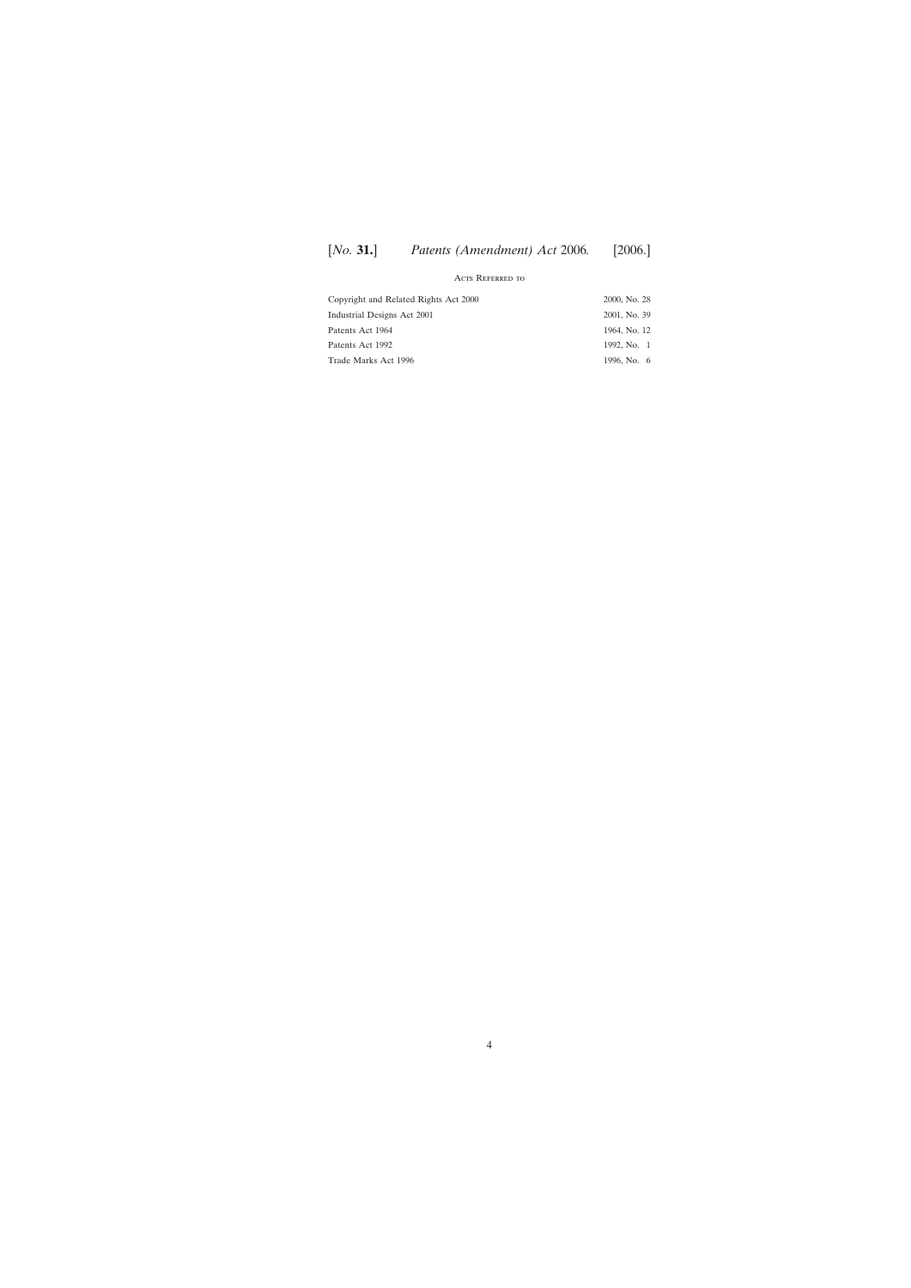# [*No.* **31.**] [2006.] *Patents (Amendment) Act* 2006*.*

#### Acts Referred to

| Copyright and Related Rights Act 2000 | 2000, No. 28 |
|---------------------------------------|--------------|
| Industrial Designs Act 2001           | 2001, No. 39 |
| Patents Act 1964                      | 1964, No. 12 |
| Patents Act 1992                      | 1992, No. 1  |
| Trade Marks Act 1996                  | 1996, No. 6  |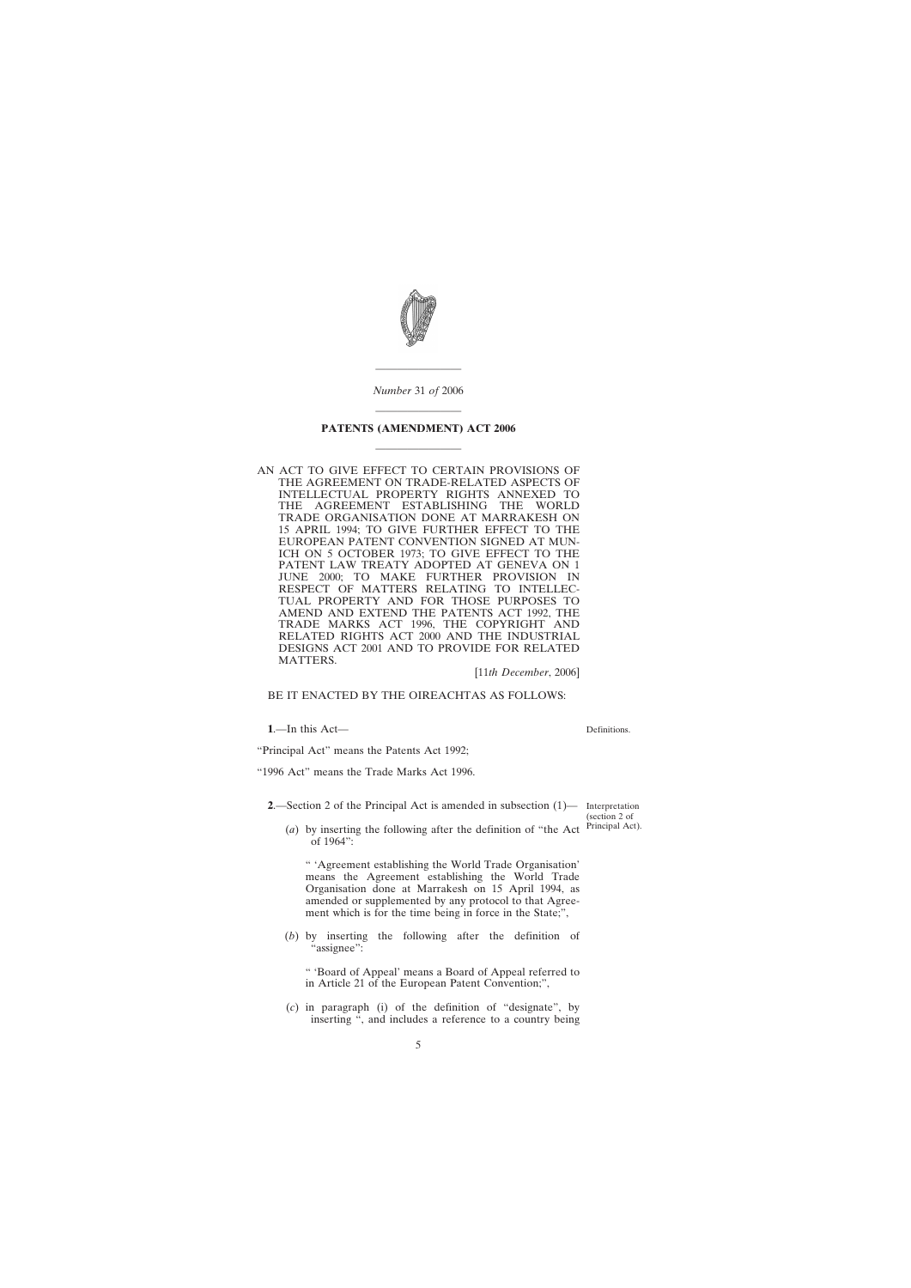<span id="page-4-0"></span>

*Number* 31 *of* 2006

————————

# ———————— **PATENTS (AMENDMENT) ACT 2006** ————————

AN ACT TO GIVE EFFECT TO CERTAIN PROVISIONS OF THE AGREEMENT ON TRADE-RELATED ASPECTS OF INTELLECTUAL PROPERTY RIGHTS ANNEXED TO THE AGREEMENT ESTABLISHING THE WORLD TRADE ORGANISATION DONE AT MARRAKESH ON 15 APRIL 1994; TO GIVE FURTHER EFFECT TO THE EUROPEAN PATENT CONVENTION SIGNED AT MUN-ICH ON 5 OCTOBER 1973; TO GIVE EFFECT TO THE PATENT LAW TREATY ADOPTED AT GENEVA ON 1 JUNE 2000; TO MAKE FURTHER PROVISION IN RESPECT OF MATTERS RELATING TO INTELLEC-TUAL PROPERTY AND FOR THOSE PURPOSES TO AMEND AND EXTEND THE PATENTS ACT 1992, THE TRADE MARKS ACT 1996, THE COPYRIGHT AND RELATED RIGHTS ACT 2000 AND THE INDUSTRIAL DESIGNS ACT 2001 AND TO PROVIDE FOR RELATED MATTERS.

[11*th December*, 2006]

## BE IT ENACTED BY THE OIREACHTAS AS FOLLOWS:

**1**.—In this Act—

Definitions.

"Principal Act" means the Patents Act 1992;

"1996 Act" means the Trade Marks Act 1996.

**2**.—Section 2 of the Principal Act is amended in subsection  $(1)$ — Interpretation

(section 2 of Principal Act).

(*a*) by inserting the following after the definition of "the Act of 1964":

" 'Agreement establishing the World Trade Organisation' means the Agreement establishing the World Trade Organisation done at Marrakesh on 15 April 1994, as amended or supplemented by any protocol to that Agreement which is for the time being in force in the State;",

(*b*) by inserting the following after the definition of "assignee":

" 'Board of Appeal' means a Board of Appeal referred to in Article 21 of the European Patent Convention;",

(*c*) in paragraph (i) of the definition of "designate", by inserting ", and includes a reference to a country being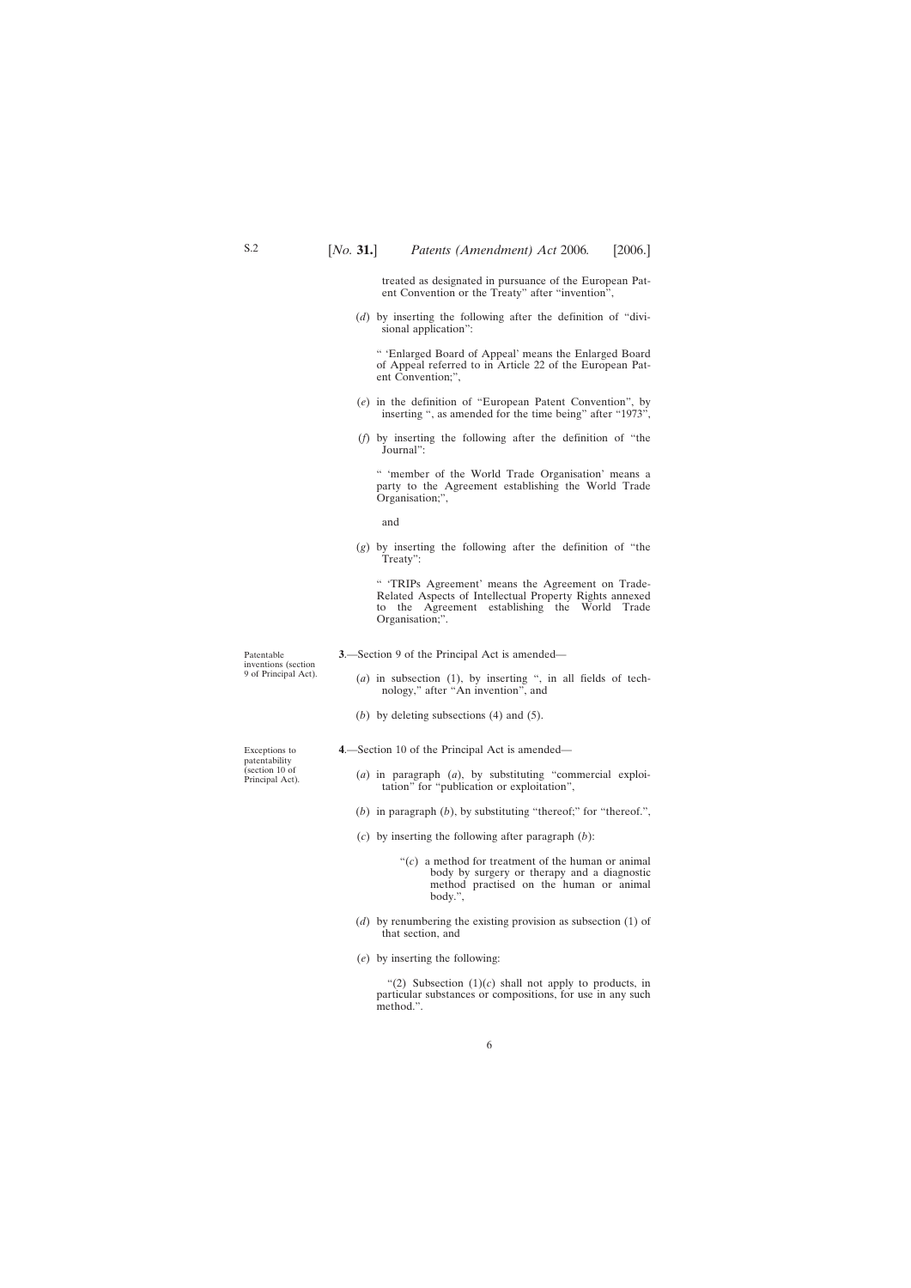treated as designated in pursuance of the European Patent Convention or the Treaty" after "invention",

<span id="page-5-0"></span>(*d*) by inserting the following after the definition of "divisional application":

" 'Enlarged Board of Appeal' means the Enlarged Board of Appeal referred to in Article 22 of the European Patent Convention;",

- (*e*) in the definition of "European Patent Convention", by inserting ", as amended for the time being" after "1973",
- (*f*) by inserting the following after the definition of "the Journal":

" 'member of the World Trade Organisation' means a party to the Agreement establishing the World Trade Organisation;",

and

(*g*) by inserting the following after the definition of "the Treaty":

" 'TRIPs Agreement' means the Agreement on Trade-Related Aspects of Intellectual Property Rights annexed to the Agreement establishing the World Trade Organisation;".

**3**.—Section 9 of the Principal Act is amended—

- (*a*) in subsection (1), by inserting ", in all fields of technology," after "An invention", and
- (*b*) by deleting subsections (4) and (5).
- **4**.—Section 10 of the Principal Act is amended—
	- (*a*) in paragraph (*a*), by substituting "commercial exploitation" for "publication or exploitation",
	- (*b*) in paragraph (*b*), by substituting "thereof;" for "thereof.",
	- (*c*) by inserting the following after paragraph (*b*):
		- "(*c*) a method for treatment of the human or animal body by surgery or therapy and a diagnostic method practised on the human or animal body.",
	- (*d*) by renumbering the existing provision as subsection (1) of that section, and
	- (*e*) by inserting the following:

"(2) Subsection  $(1)(c)$  shall not apply to products, in particular substances or compositions, for use in any such method.".

Patentable inventions (section 9 of Principal Act).

Exceptions to patentability (section 10 of Principal Act).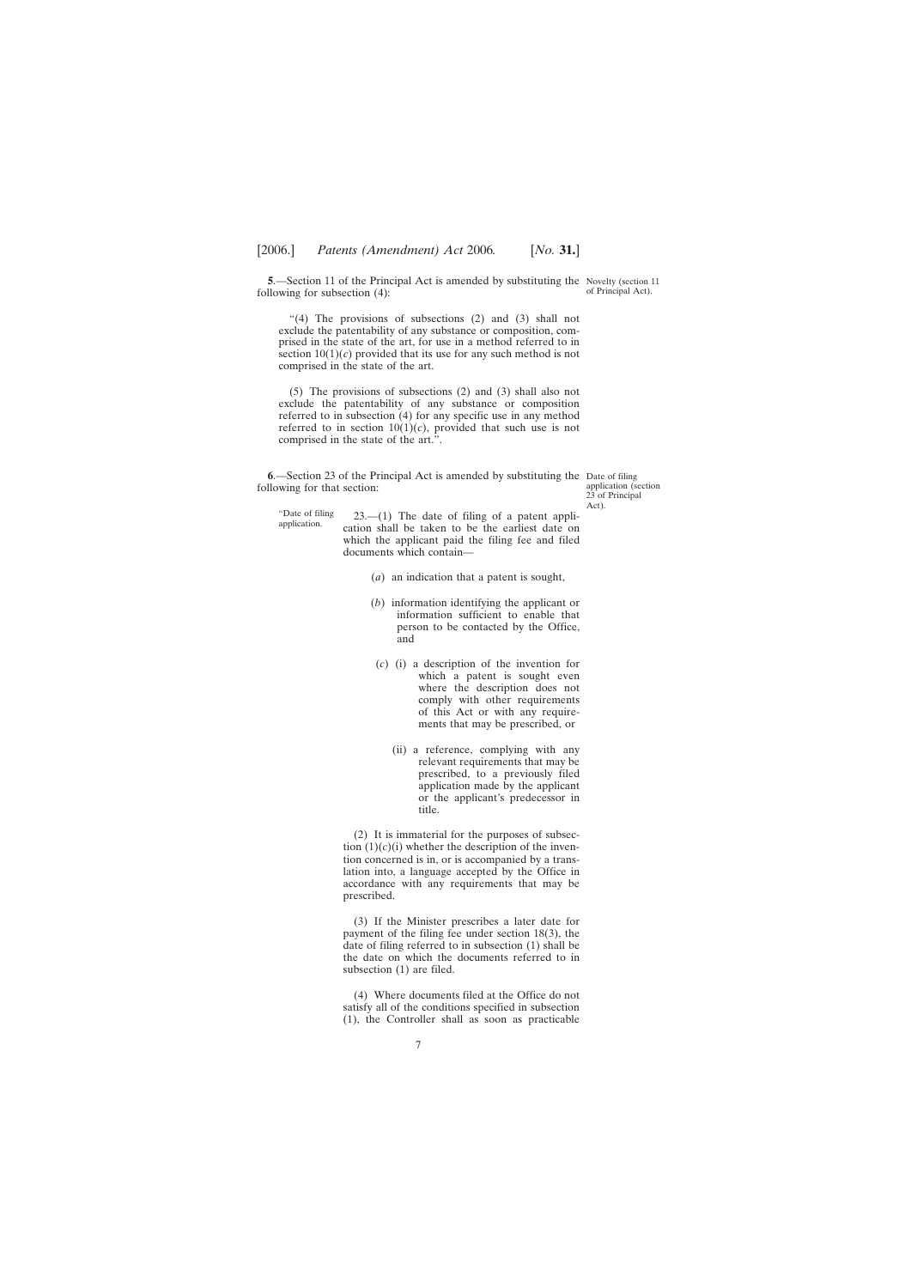<span id="page-6-0"></span>**5.**—Section 11 of the Principal Act is amended by substituting the Novelty (section 11 following for subsection (4):

of Principal Act).

"(4) The provisions of subsections (2) and (3) shall not exclude the patentability of any substance or composition, comprised in the state of the art, for use in a method referred to in section  $10(1)(c)$  provided that its use for any such method is not comprised in the state of the art.

(5) The provisions of subsections (2) and (3) shall also not exclude the patentability of any substance or composition referred to in subsection (4) for any specific use in any method referred to in section  $10(1)(c)$ , provided that such use is not comprised in the state of the art."

**6**.—Section 23 of the Principal Act is amended by substituting the Date of filing following for that section:

application (section 23 of Principal Act).

"Date of filing

 $23$ .—(1) The date of filing of a patent application shall be taken to be the earliest date on which the applicant paid the filing fee and filed documents which contain—

- (*a*) an indication that a patent is sought,
- (*b*) information identifying the applicant or information sufficient to enable that person to be contacted by the Office, and
- (*c*) (i) a description of the invention for which a patent is sought even where the description does not comply with other requirements of this Act or with any requirements that may be prescribed, or
	- (ii) a reference, complying with any relevant requirements that may be prescribed, to a previously filed application made by the applicant or the applicant's predecessor in title.

(2) It is immaterial for the purposes of subsection  $(1)(c)(i)$  whether the description of the invention concerned is in, or is accompanied by a translation into, a language accepted by the Office in accordance with any requirements that may be prescribed.

(3) If the Minister prescribes a later date for payment of the filing fee under section 18(3), the date of filing referred to in subsection (1) shall be the date on which the documents referred to in subsection (1) are filed.

(4) Where documents filed at the Office do not satisfy all of the conditions specified in subsection (1), the Controller shall as soon as practicable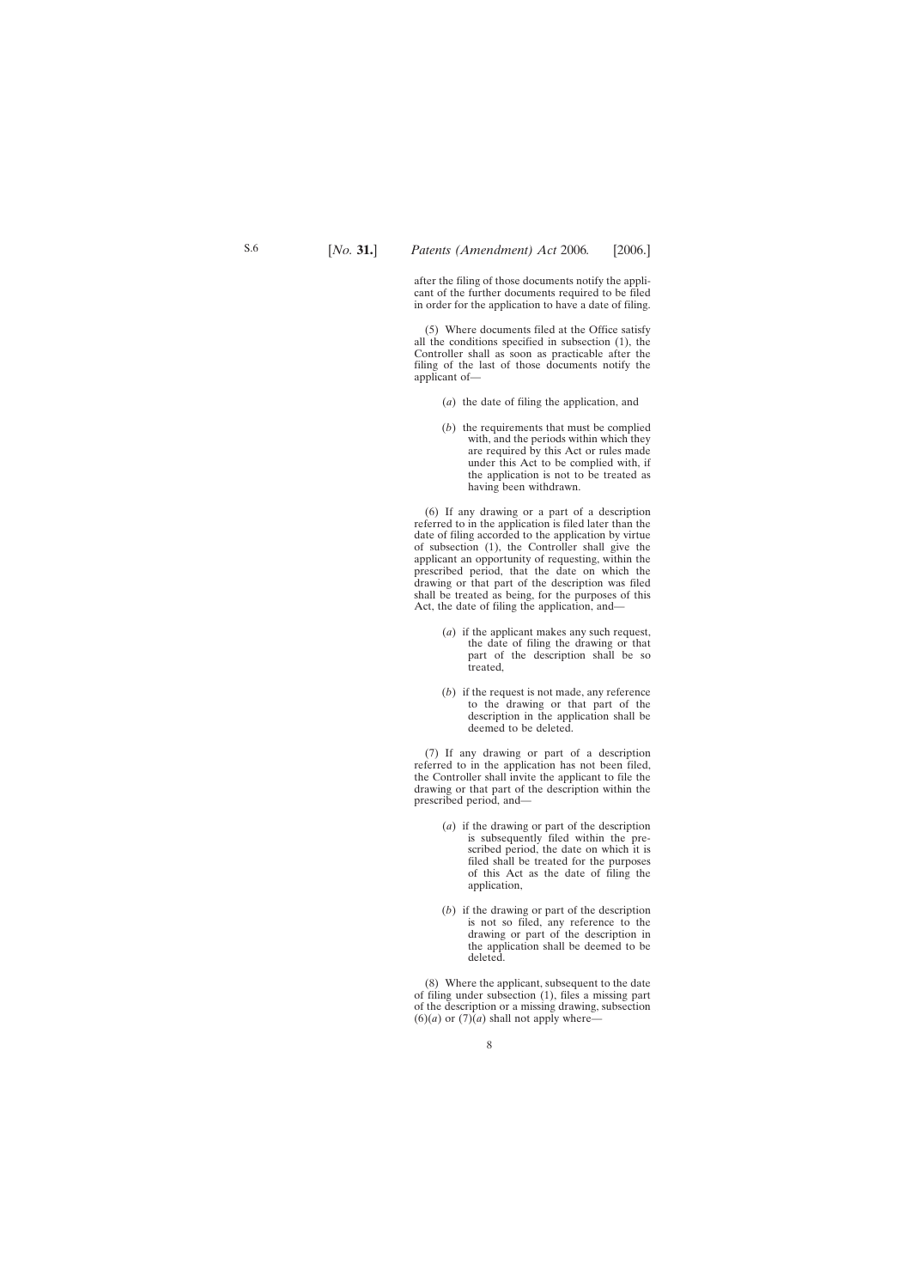after the filing of those documents notify the applicant of the further documents required to be filed in order for the application to have a date of filing.

(5) Where documents filed at the Office satisfy all the conditions specified in subsection (1), the Controller shall as soon as practicable after the filing of the last of those documents notify the applicant of—

- (*a*) the date of filing the application, and
- (*b*) the requirements that must be complied with, and the periods within which they are required by this Act or rules made under this Act to be complied with, if the application is not to be treated as having been withdrawn.

(6) If any drawing or a part of a description referred to in the application is filed later than the date of filing accorded to the application by virtue of subsection (1), the Controller shall give the applicant an opportunity of requesting, within the prescribed period, that the date on which the drawing or that part of the description was filed shall be treated as being, for the purposes of this Act, the date of filing the application, and—

- (*a*) if the applicant makes any such request, the date of filing the drawing or that part of the description shall be so treated,
- (*b*) if the request is not made, any reference to the drawing or that part of the description in the application shall be deemed to be deleted.

(7) If any drawing or part of a description referred to in the application has not been filed, the Controller shall invite the applicant to file the drawing or that part of the description within the prescribed period, and—

- (*a*) if the drawing or part of the description is subsequently filed within the prescribed period, the date on which it is filed shall be treated for the purposes of this Act as the date of filing the application,
- (*b*) if the drawing or part of the description is not so filed, any reference to the drawing or part of the description in the application shall be deemed to be deleted.

(8) Where the applicant, subsequent to the date of filing under subsection (1), files a missing part of the description or a missing drawing, subsection  $(6)(a)$  or  $(7)(a)$  shall not apply where-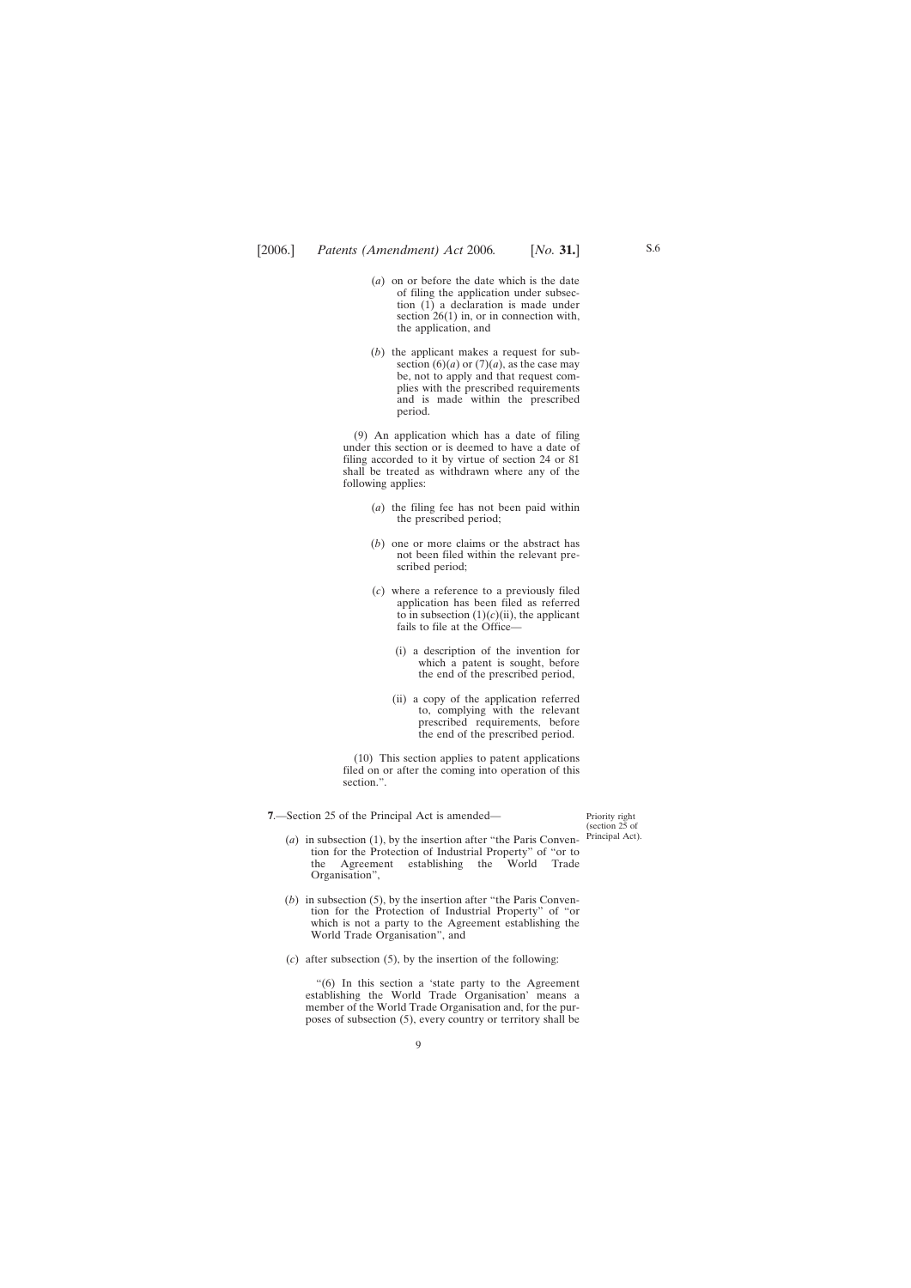- <span id="page-8-0"></span>(*a*) on or before the date which is the date of filing the application under subsection (1) a declaration is made under section 26(1) in, or in connection with, the application, and
- (*b*) the applicant makes a request for subsection  $(6)(a)$  or  $(7)(a)$ , as the case may be, not to apply and that request complies with the prescribed requirements and is made within the prescribed period.

(9) An application which has a date of filing under this section or is deemed to have a date of filing accorded to it by virtue of section 24 or 81 shall be treated as withdrawn where any of the following applies:

- (*a*) the filing fee has not been paid within the prescribed period;
- (*b*) one or more claims or the abstract has not been filed within the relevant prescribed period;
- (*c*) where a reference to a previously filed application has been filed as referred to in subsection  $(1)(c)(ii)$ , the applicant fails to file at the Office—
	- (i) a description of the invention for which a patent is sought, before the end of the prescribed period,
	- (ii) a copy of the application referred to, complying with the relevant prescribed requirements, before the end of the prescribed period.

(10) This section applies to patent applications filed on or after the coming into operation of this section.".

**7**.—Section 25 of the Principal Act is amended—

Priority right (section 25 of Principal Act).

- (*a*) in subsection (1), by the insertion after "the Paris Convention for the Protection of Industrial Property" of "or to the Agreement establishing the World Trade Organisation",
- (*b*) in subsection (5), by the insertion after "the Paris Convention for the Protection of Industrial Property" of "or which is not a party to the Agreement establishing the World Trade Organisation", and
- (*c*) after subsection (5), by the insertion of the following:

"(6) In this section a 'state party to the Agreement establishing the World Trade Organisation' means a member of the World Trade Organisation and, for the purposes of subsection (5), every country or territory shall be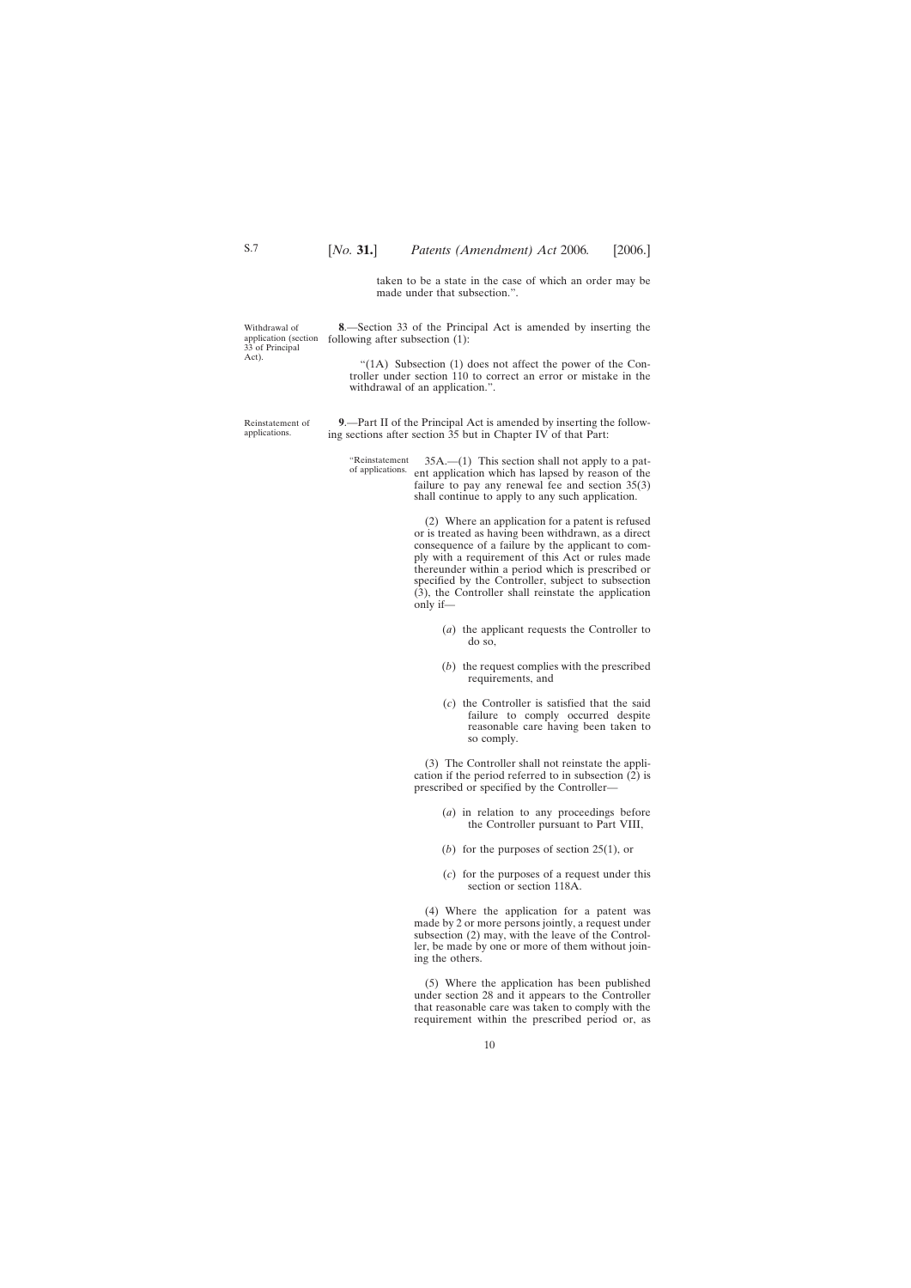taken to be a state in the case of which an order may be made under that subsection.".

<span id="page-9-0"></span>Withdrawal of application (section 33 of Principal Act).

**8**.—Section 33 of the Principal Act is amended by inserting the following after subsection (1):

"(1A) Subsection (1) does not affect the power of the Controller under section 110 to correct an error or mistake in the withdrawal of an application.".

Reinstatement of applications.

**9**.—Part II of the Principal Act is amended by inserting the following sections after section 35 but in Chapter IV of that Part:

"Reinstatement of applications. 35A.—(1) This section shall not apply to a pat-ent application which has lapsed by reason of the failure to pay any renewal fee and section 35(3) shall continue to apply to any such application.

> (2) Where an application for a patent is refused or is treated as having been withdrawn, as a direct consequence of a failure by the applicant to comply with a requirement of this Act or rules made thereunder within a period which is prescribed or specified by the Controller, subject to subsection (3), the Controller shall reinstate the application only if—

- (*a*) the applicant requests the Controller to do so,
- (*b*) the request complies with the prescribed requirements, and
- (*c*) the Controller is satisfied that the said failure to comply occurred despite reasonable care having been taken to so comply.

(3) The Controller shall not reinstate the application if the period referred to in subsection  $(2)$  is prescribed or specified by the Controller—

- (*a*) in relation to any proceedings before the Controller pursuant to Part VIII,
- (*b*) for the purposes of section 25(1), or
- (*c*) for the purposes of a request under this section or section 118A.

(4) Where the application for a patent was made by 2 or more persons jointly, a request under subsection (2) may, with the leave of the Controller, be made by one or more of them without joining the others.

(5) Where the application has been published under section 28 and it appears to the Controller that reasonable care was taken to comply with the requirement within the prescribed period or, as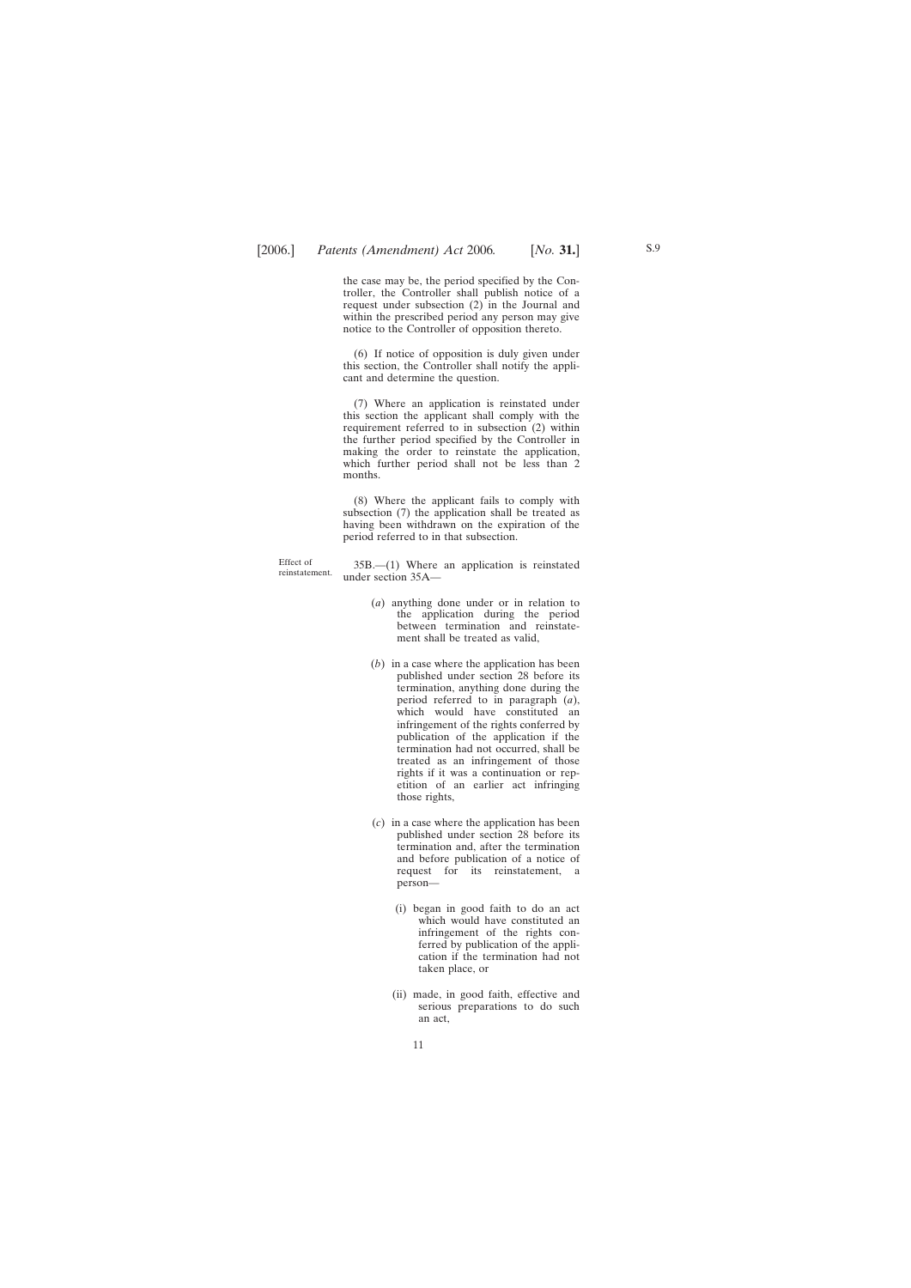the case may be, the period specified by the Controller, the Controller shall publish notice of a request under subsection (2) in the Journal and within the prescribed period any person may give notice to the Controller of opposition thereto.

(6) If notice of opposition is duly given under this section, the Controller shall notify the applicant and determine the question.

(7) Where an application is reinstated under this section the applicant shall comply with the requirement referred to in subsection (2) within the further period specified by the Controller in making the order to reinstate the application, which further period shall not be less than 2 months.

(8) Where the applicant fails to comply with subsection (7) the application shall be treated as having been withdrawn on the expiration of the period referred to in that subsection.

Effect of<br>reinstatement.

 $35B$ .—(1) Where an application is reinstated under section 35A—

- (*a*) anything done under or in relation to the application during the period between termination and reinstatement shall be treated as valid,
- (*b*) in a case where the application has been published under section 28 before its termination, anything done during the period referred to in paragraph (*a*), which would have constituted an infringement of the rights conferred by publication of the application if the termination had not occurred, shall be treated as an infringement of those rights if it was a continuation or repetition of an earlier act infringing those rights,
- (*c*) in a case where the application has been published under section 28 before its termination and, after the termination and before publication of a notice of request for its reinstatement, a person—
	- (i) began in good faith to do an act which would have constituted an infringement of the rights conferred by publication of the application if the termination had not taken place, or
	- (ii) made, in good faith, effective and serious preparations to do such an act,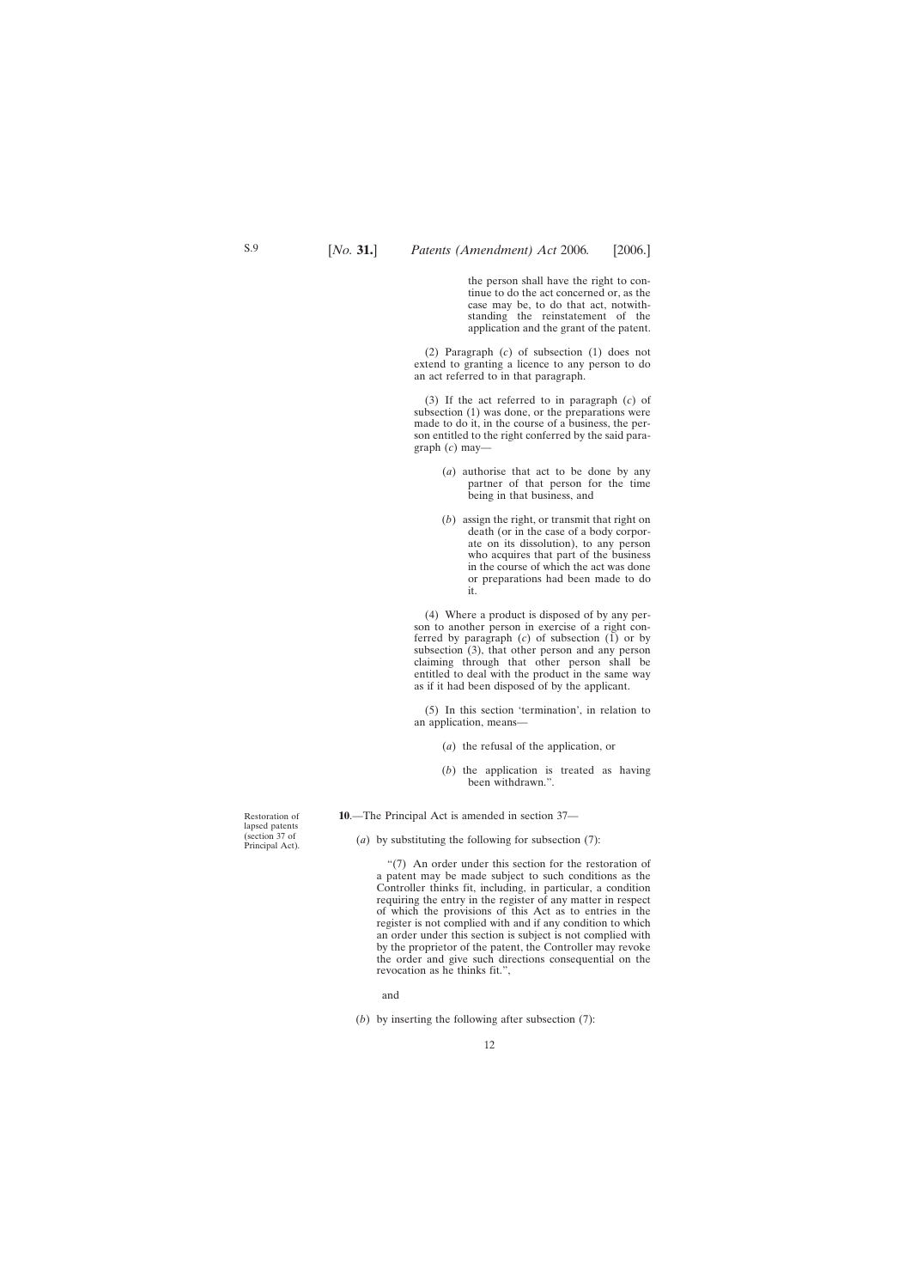the person shall have the right to continue to do the act concerned or, as the case may be, to do that act, notwithstanding the reinstatement of the application and the grant of the patent.

<span id="page-11-0"></span>(2) Paragraph (*c*) of subsection (1) does not extend to granting a licence to any person to do an act referred to in that paragraph.

(3) If the act referred to in paragraph (*c*) of subsection (1) was done, or the preparations were made to do it, in the course of a business, the person entitled to the right conferred by the said paragraph (*c*) may—

- (*a*) authorise that act to be done by any partner of that person for the time being in that business, and
- (*b*) assign the right, or transmit that right on death (or in the case of a body corporate on its dissolution), to any person who acquires that part of the business in the course of which the act was done or preparations had been made to do it.

(4) Where a product is disposed of by any person to another person in exercise of a right conferred by paragraph  $(c)$  of subsection  $(1)$  or by subsection (3), that other person and any person claiming through that other person shall be entitled to deal with the product in the same way as if it had been disposed of by the applicant.

(5) In this section 'termination', in relation to an application, means—

- (*a*) the refusal of the application, or
- (*b*) the application is treated as having been withdrawn.".

**10**.—The Principal Act is amended in section 37—

(*a*) by substituting the following for subsection (7):

"(7) An order under this section for the restoration of a patent may be made subject to such conditions as the Controller thinks fit, including, in particular, a condition requiring the entry in the register of any matter in respect of which the provisions of this Act as to entries in the register is not complied with and if any condition to which an order under this section is subject is not complied with by the proprietor of the patent, the Controller may revoke the order and give such directions consequential on the revocation as he thinks fit.",

and

(*b*) by inserting the following after subsection (7):

Restoration of lapsed patents (section 37 of Principal Act).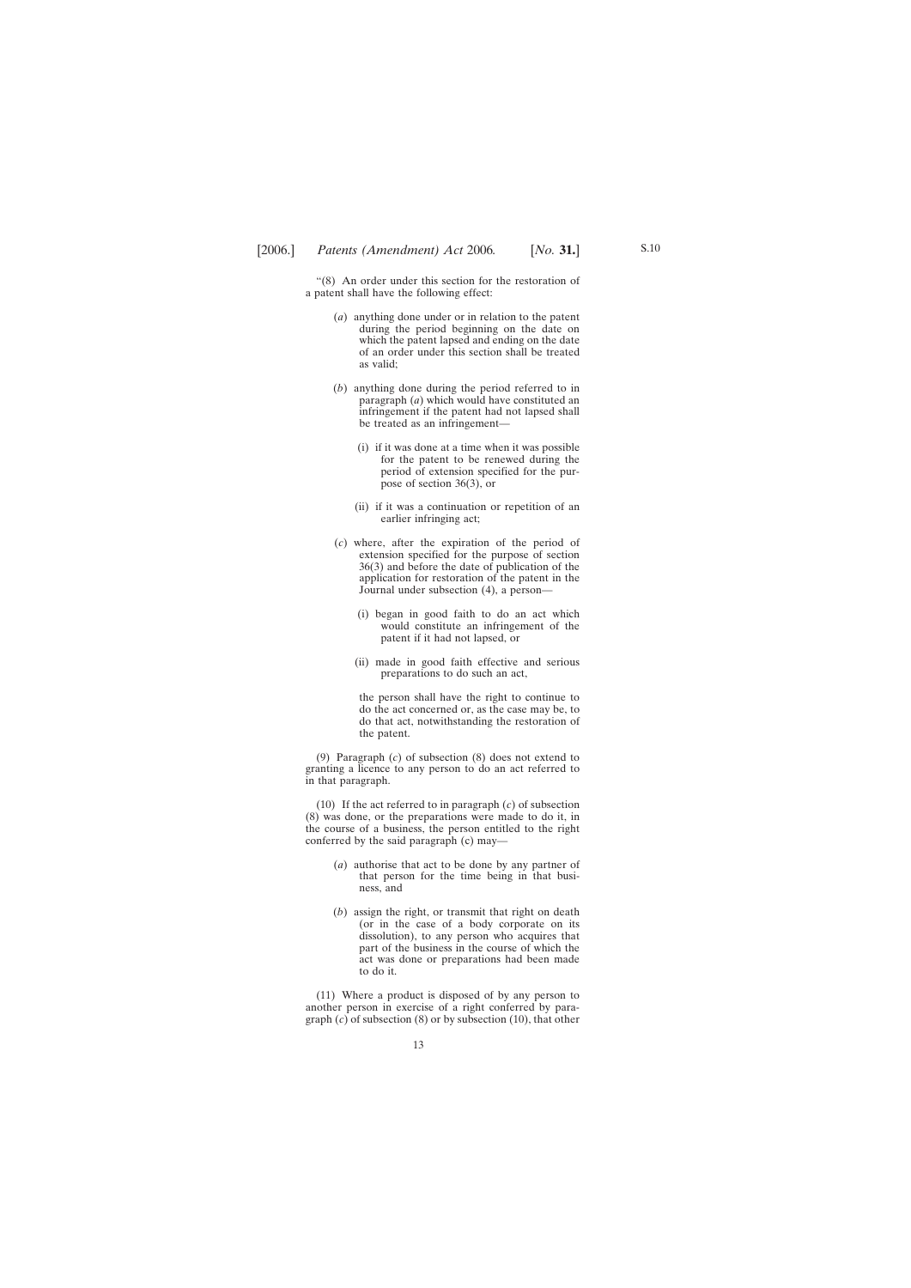"(8) An order under this section for the restoration of a patent shall have the following effect:

- (*a*) anything done under or in relation to the patent during the period beginning on the date on which the patent lapsed and ending on the date of an order under this section shall be treated as valid;
- (*b*) anything done during the period referred to in paragraph (*a*) which would have constituted an infringement if the patent had not lapsed shall be treated as an infringement—
	- (i) if it was done at a time when it was possible for the patent to be renewed during the period of extension specified for the purpose of section 36(3), or
	- (ii) if it was a continuation or repetition of an earlier infringing act;
- (*c*) where, after the expiration of the period of extension specified for the purpose of section 36(3) and before the date of publication of the application for restoration of the patent in the Journal under subsection (4), a person—
	- (i) began in good faith to do an act which would constitute an infringement of the patent if it had not lapsed, or
	- (ii) made in good faith effective and serious preparations to do such an act,

the person shall have the right to continue to do the act concerned or, as the case may be, to do that act, notwithstanding the restoration of the patent.

(9) Paragraph (*c*) of subsection (8) does not extend to granting a licence to any person to do an act referred to in that paragraph.

(10) If the act referred to in paragraph (*c*) of subsection (8) was done, or the preparations were made to do it, in the course of a business, the person entitled to the right conferred by the said paragraph (c) may—

- (*a*) authorise that act to be done by any partner of that person for the time being in that business, and
- (*b*) assign the right, or transmit that right on death (or in the case of a body corporate on its dissolution), to any person who acquires that part of the business in the course of which the act was done or preparations had been made to do it.

(11) Where a product is disposed of by any person to another person in exercise of a right conferred by paragraph (*c*) of subsection (8) or by subsection (10), that other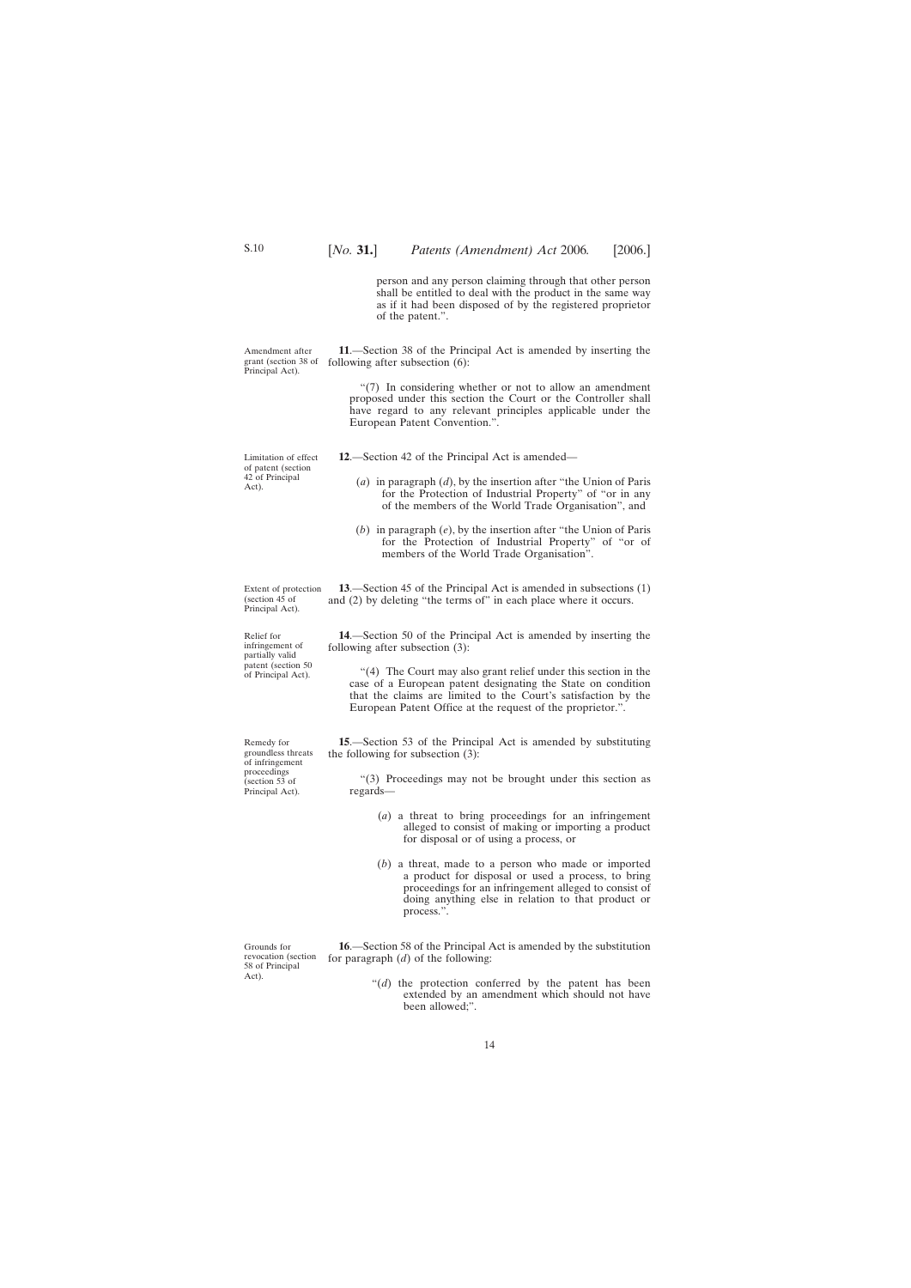person and any person claiming through that other person shall be entitled to deal with the product in the same way as if it had been disposed of by the registered proprietor of the patent.".

<span id="page-13-0"></span>Amendment after grant (section 38 of **11**.—Section 38 of the Principal Act is amended by inserting the following after subsection (6):

> "(7) In considering whether or not to allow an amendment proposed under this section the Court or the Controller shall have regard to any relevant principles applicable under the European Patent Convention.".

- **12**.—Section 42 of the Principal Act is amended—
	- (*a*) in paragraph (*d*), by the insertion after "the Union of Paris for the Protection of Industrial Property" of "or in any of the members of the World Trade Organisation", and
	- (*b*) in paragraph (*e*), by the insertion after "the Union of Paris for the Protection of Industrial Property" of "or of members of the World Trade Organisation".

Extent of protection **13**.—Section 45 of the Principal Act is amended in subsections (1) and (2) by deleting "the terms of" in each place where it occurs.

> **14**.—Section 50 of the Principal Act is amended by inserting the following after subsection (3):

"(4) The Court may also grant relief under this section in the case of a European patent designating the State on condition that the claims are limited to the Court's satisfaction by the European Patent Office at the request of the proprietor.".

**15**.—Section 53 of the Principal Act is amended by substituting the following for subsection (3):

"(3) Proceedings may not be brought under this section as regards—

- (*a*) a threat to bring proceedings for an infringement alleged to consist of making or importing a product for disposal or of using a process, or
- (*b*) a threat, made to a person who made or imported a product for disposal or used a process, to bring proceedings for an infringement alleged to consist of doing anything else in relation to that product or process.".

**16**.—Section 58 of the Principal Act is amended by the substitution for paragraph (*d*) of the following:

> "(*d*) the protection conferred by the patent has been extended by an amendment which should not have been allowed;".

Relief for infringement of partially valid patent (section 50 of Principal Act).

(section  $4\overline{5}$  of Principal Act).

Remedy for groundless threats of infringement proceedings (section 53 of Principal Act).

Principal Act).

Limitation of effect of patent (section 42 of Principal Act).

Grounds for revocation (section 58 of Principal Act).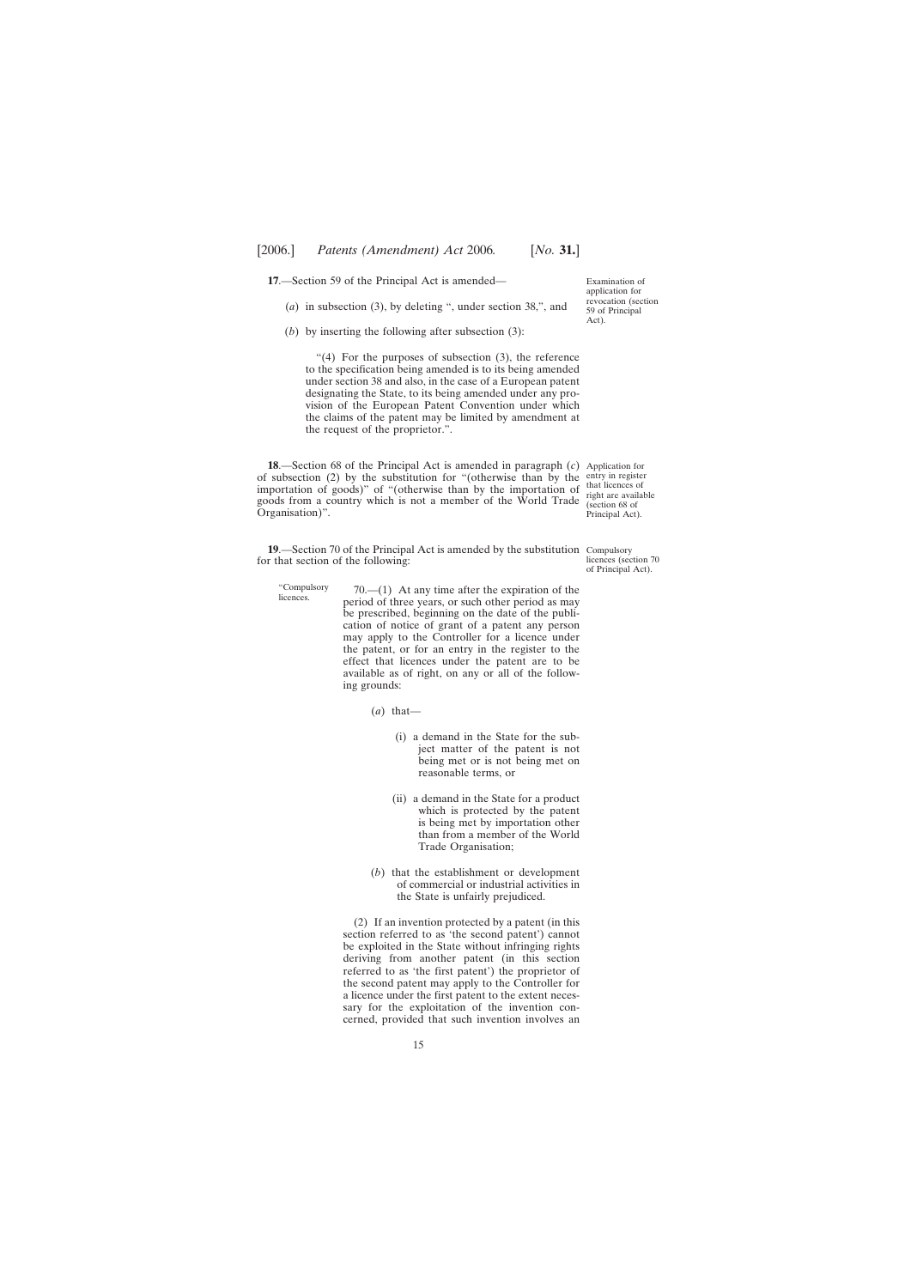<span id="page-14-0"></span>**17**.—Section 59 of the Principal Act is amended—

- (*a*) in subsection (3), by deleting ", under section 38,", and
- (*b*) by inserting the following after subsection (3):

" $(4)$  For the purposes of subsection  $(3)$ , the reference to the specification being amended is to its being amended under section 38 and also, in the case of a European patent designating the State, to its being amended under any provision of the European Patent Convention under which the claims of the patent may be limited by amendment at the request of the proprietor.".

**18**.—Section 68 of the Principal Act is amended in paragraph (*c*) Application for of subsection (2) by the substitution for "(otherwise than by the entry in register importation of goods)" of "(otherwise than by the importation of goods from a country which is not a member of the World Trade Organisation)".

**19.**—Section 70 of the Principal Act is amended by the substitution Compulsory for that section of the following:

- "Compulsory "Compulsory  $70$ .—(1) At any time after the expiration of the licences period of three years, or such other period as may be prescribed, beginning on the date of the publication of notice of grant of a patent any person may apply to the Controller for a licence under the patent, or for an entry in the register to the effect that licences under the patent are to be available as of right, on any or all of the following grounds:
	- (*a*) that—
		- (i) a demand in the State for the subject matter of the patent is not being met or is not being met on reasonable terms, or
		- (ii) a demand in the State for a product which is protected by the patent is being met by importation other than from a member of the World Trade Organisation;
	- (*b*) that the establishment or development of commercial or industrial activities in the State is unfairly prejudiced.

(2) If an invention protected by a patent (in this section referred to as 'the second patent') cannot be exploited in the State without infringing rights deriving from another patent (in this section referred to as 'the first patent') the proprietor of the second patent may apply to the Controller for a licence under the first patent to the extent necessary for the exploitation of the invention concerned, provided that such invention involves an

Examination of application for revocation (section 59 of Principal Act).

that licences of right are available (section 68 of Principal Act).

licences (section 70 of Principal Act).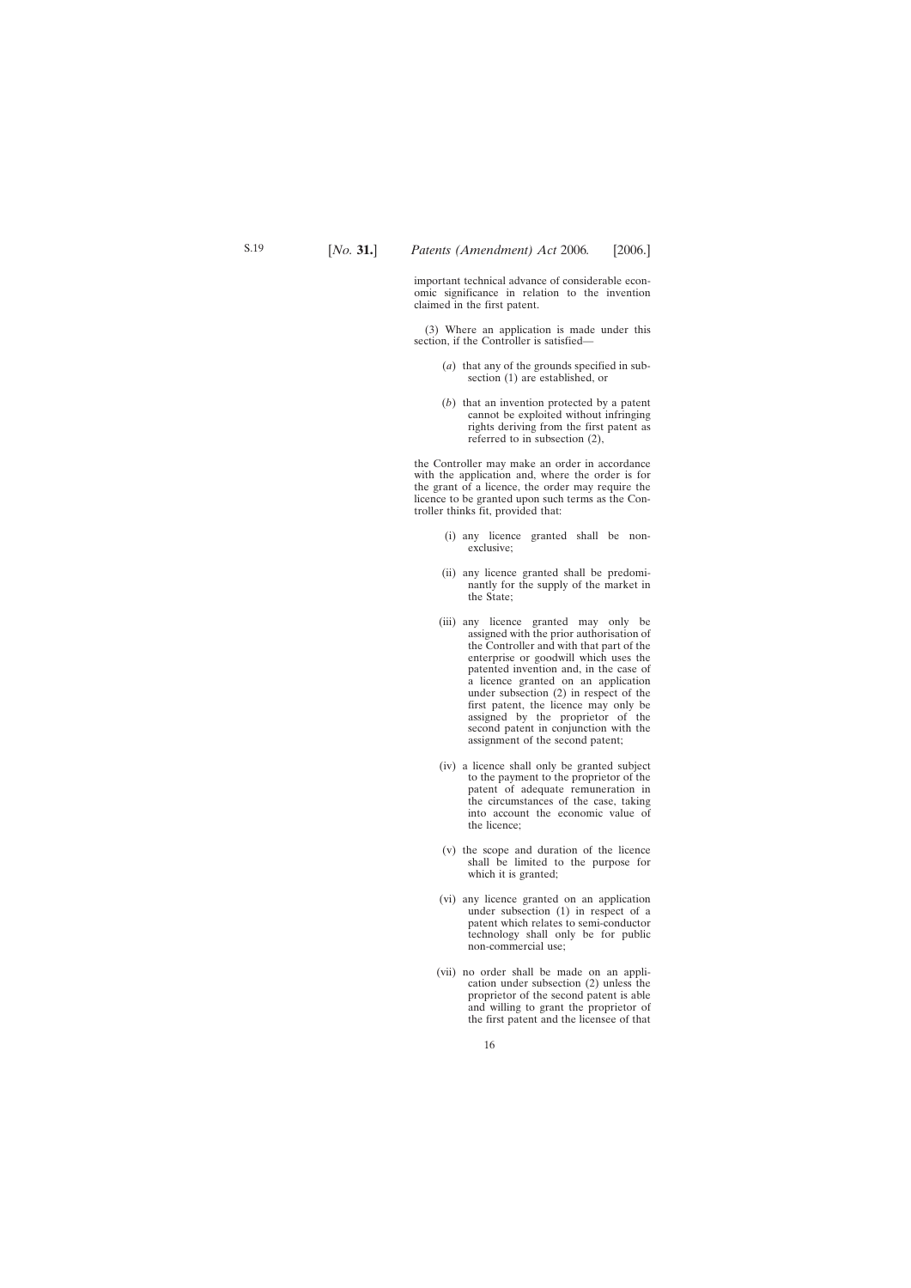important technical advance of considerable economic significance in relation to the invention claimed in the first patent.

(3) Where an application is made under this section, if the Controller is satisfied—

- (*a*) that any of the grounds specified in subsection (1) are established, or
- (*b*) that an invention protected by a patent cannot be exploited without infringing rights deriving from the first patent as referred to in subsection (2),

the Controller may make an order in accordance with the application and, where the order is for the grant of a licence, the order may require the licence to be granted upon such terms as the Controller thinks fit, provided that:

- (i) any licence granted shall be nonexclusive;
- (ii) any licence granted shall be predominantly for the supply of the market in the State;
- (iii) any licence granted may only be assigned with the prior authorisation of the Controller and with that part of the enterprise or goodwill which uses the patented invention and, in the case of a licence granted on an application under subsection (2) in respect of the first patent, the licence may only be assigned by the proprietor of the second patent in conjunction with the assignment of the second patent;
- (iv) a licence shall only be granted subject to the payment to the proprietor of the patent of adequate remuneration in the circumstances of the case, taking into account the economic value of the licence;
- (v) the scope and duration of the licence shall be limited to the purpose for which it is granted;
- (vi) any licence granted on an application under subsection (1) in respect of a patent which relates to semi-conductor technology shall only be for public non-commercial use;
- (vii) no order shall be made on an application under subsection (2) unless the proprietor of the second patent is able and willing to grant the proprietor of the first patent and the licensee of that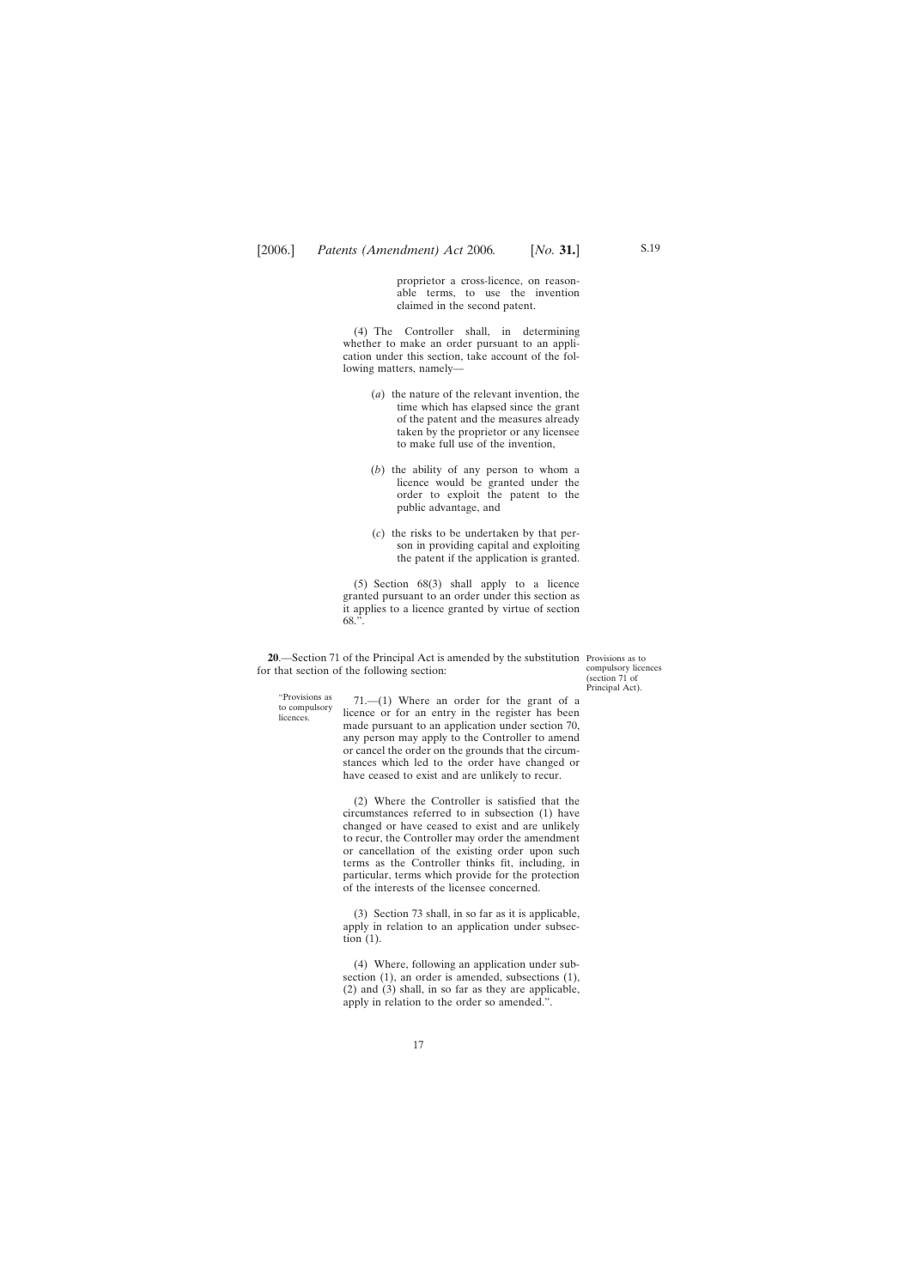proprietor a cross-licence, on reasonable terms, to use the invention claimed in the second patent.

<span id="page-16-0"></span>(4) The Controller shall, in determining whether to make an order pursuant to an application under this section, take account of the following matters, namely—

- (*a*) the nature of the relevant invention, the time which has elapsed since the grant of the patent and the measures already taken by the proprietor or any licensee to make full use of the invention,
- (*b*) the ability of any person to whom a licence would be granted under the order to exploit the patent to the public advantage, and
- (*c*) the risks to be undertaken by that person in providing capital and exploiting the patent if the application is granted.

(5) Section 68(3) shall apply to a licence granted pursuant to an order under this section as it applies to a licence granted by virtue of section 68.".

**20**.—Section 71 of the Principal Act is amended by the substitution Provisions as to for that section of the following section:

compulsory licences (section 71 of Principal Act).

"Provisions as to compulsory **licences** 

71.—(1) Where an order for the grant of a licence or for an entry in the register has been made pursuant to an application under section 70, any person may apply to the Controller to amend or cancel the order on the grounds that the circumstances which led to the order have changed or have ceased to exist and are unlikely to recur.

(2) Where the Controller is satisfied that the circumstances referred to in subsection (1) have changed or have ceased to exist and are unlikely to recur, the Controller may order the amendment or cancellation of the existing order upon such terms as the Controller thinks fit, including, in particular, terms which provide for the protection of the interests of the licensee concerned.

(3) Section 73 shall, in so far as it is applicable, apply in relation to an application under subsection (1).

(4) Where, following an application under subsection (1), an order is amended, subsections (1), (2) and (3) shall, in so far as they are applicable, apply in relation to the order so amended.".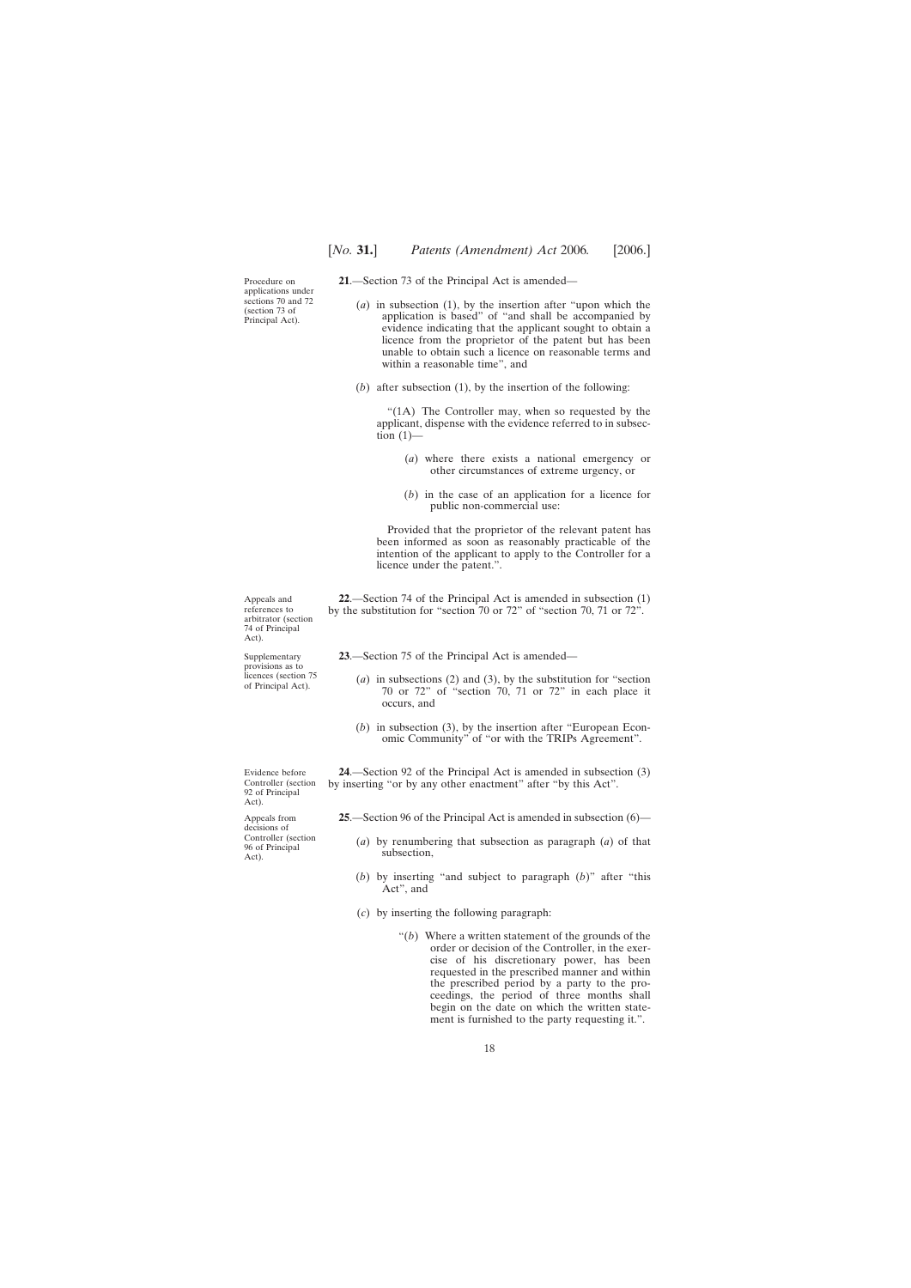<span id="page-17-0"></span>Procedure on applications under sections 70 and 72 (section 73 of Principal Act).

**21**.—Section 73 of the Principal Act is amended—

- (*a*) in subsection (1), by the insertion after "upon which the application is based" of "and shall be accompanied by evidence indicating that the applicant sought to obtain a licence from the proprietor of the patent but has been unable to obtain such a licence on reasonable terms and within a reasonable time", and
- (*b*) after subsection (1), by the insertion of the following:

"(1A) The Controller may, when so requested by the applicant, dispense with the evidence referred to in subsection  $(1)$ —

- (*a*) where there exists a national emergency or other circumstances of extreme urgency, or
- (*b*) in the case of an application for a licence for public non-commercial use:

Provided that the proprietor of the relevant patent has been informed as soon as reasonably practicable of the intention of the applicant to apply to the Controller for a licence under the patent.".

**22**.—Section 74 of the Principal Act is amended in subsection (1) by the substitution for "section 70 or 72" of "section 70, 71 or 72".

**23**.—Section 75 of the Principal Act is amended—

- (*a*) in subsections (2) and (3), by the substitution for "section 70 or 72" of "section 70, 71 or 72" in each place it occurs, and
- (*b*) in subsection (3), by the insertion after "European Economic Community" of "or with the TRIPs Agreement".

**24**.—Section 92 of the Principal Act is amended in subsection (3) by inserting "or by any other enactment" after "by this Act".

**25**.—Section 96 of the Principal Act is amended in subsection (6)—

- (*a*) by renumbering that subsection as paragraph (*a*) of that subsection,
- (*b*) by inserting "and subject to paragraph (*b*)" after "this Act", and
- (*c*) by inserting the following paragraph:
	- "(*b*) Where a written statement of the grounds of the order or decision of the Controller, in the exercise of his discretionary power, has been requested in the prescribed manner and within the prescribed period by a party to the proceedings, the period of three months shall begin on the date on which the written statement is furnished to the party requesting it.".

Appeals and references to arbitrator (section 74 of Principal Act).

Supplementary provisions as to licences (section 75 of Principal Act).

Evidence before Controller (section 92 of Principal Act).

Appeals from decisions of Controller (section 96 of Principal Act).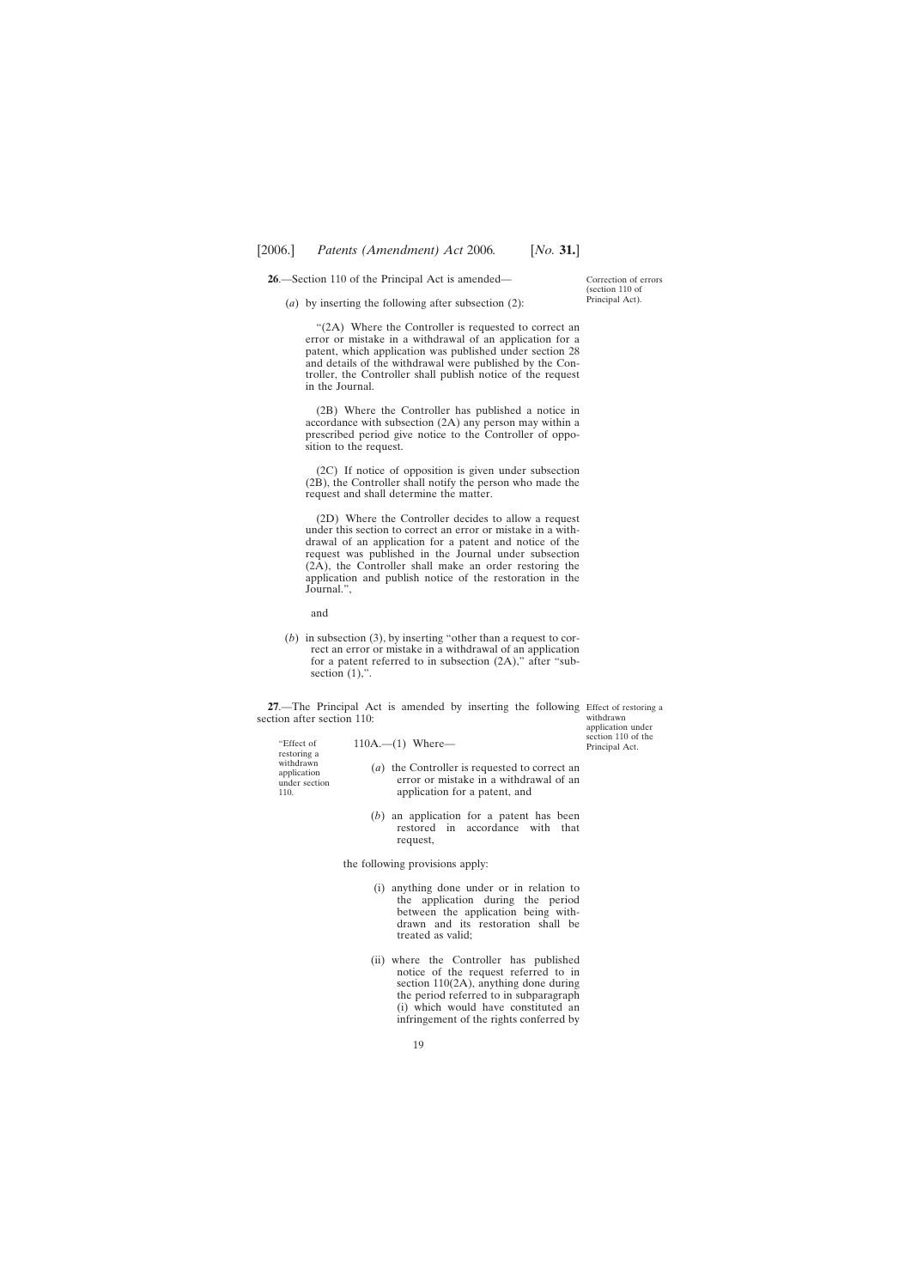<span id="page-18-0"></span>**26**.—Section 110 of the Principal Act is amended—

(*a*) by inserting the following after subsection (2):

"(2A) Where the Controller is requested to correct an error or mistake in a withdrawal of an application for a patent, which application was published under section 28 and details of the withdrawal were published by the Controller, the Controller shall publish notice of the request in the Journal.

(2B) Where the Controller has published a notice in accordance with subsection (2A) any person may within a prescribed period give notice to the Controller of opposition to the request.

(2C) If notice of opposition is given under subsection (2B), the Controller shall notify the person who made the request and shall determine the matter.

(2D) Where the Controller decides to allow a request under this section to correct an error or mistake in a withdrawal of an application for a patent and notice of the request was published in the Journal under subsection (2A), the Controller shall make an order restoring the application and publish notice of the restoration in the Journal.",

and

(*b*) in subsection (3), by inserting "other than a request to correct an error or mistake in a withdrawal of an application for a patent referred to in subsection (2A)," after "subsection  $(1)$ ,".

**27.**—The Principal Act is amended by inserting the following Effect of restoring a section after section 110:

| "Effect of<br>restoring a<br>withdrawn<br>application<br>under section<br>110. | $110A. - (1)$ Where-                                                                                                     | section 110 of the<br>Principal Act. |
|--------------------------------------------------------------------------------|--------------------------------------------------------------------------------------------------------------------------|--------------------------------------|
|                                                                                | (a) the Controller is requested to correct an<br>error or mistake in a withdrawal of an<br>application for a patent, and |                                      |
|                                                                                | $(b)$ an application for a patent has been<br>restored in accordance with that<br>request,                               |                                      |

the following provisions apply:

- (i) anything done under or in relation to the application during the period between the application being withdrawn and its restoration shall be treated as valid;
- (ii) where the Controller has published notice of the request referred to in section 110(2A), anything done during the period referred to in subparagraph (i) which would have constituted an infringement of the rights conferred by

Correction of errors (section 110 of Principal Act).

withdrawn application under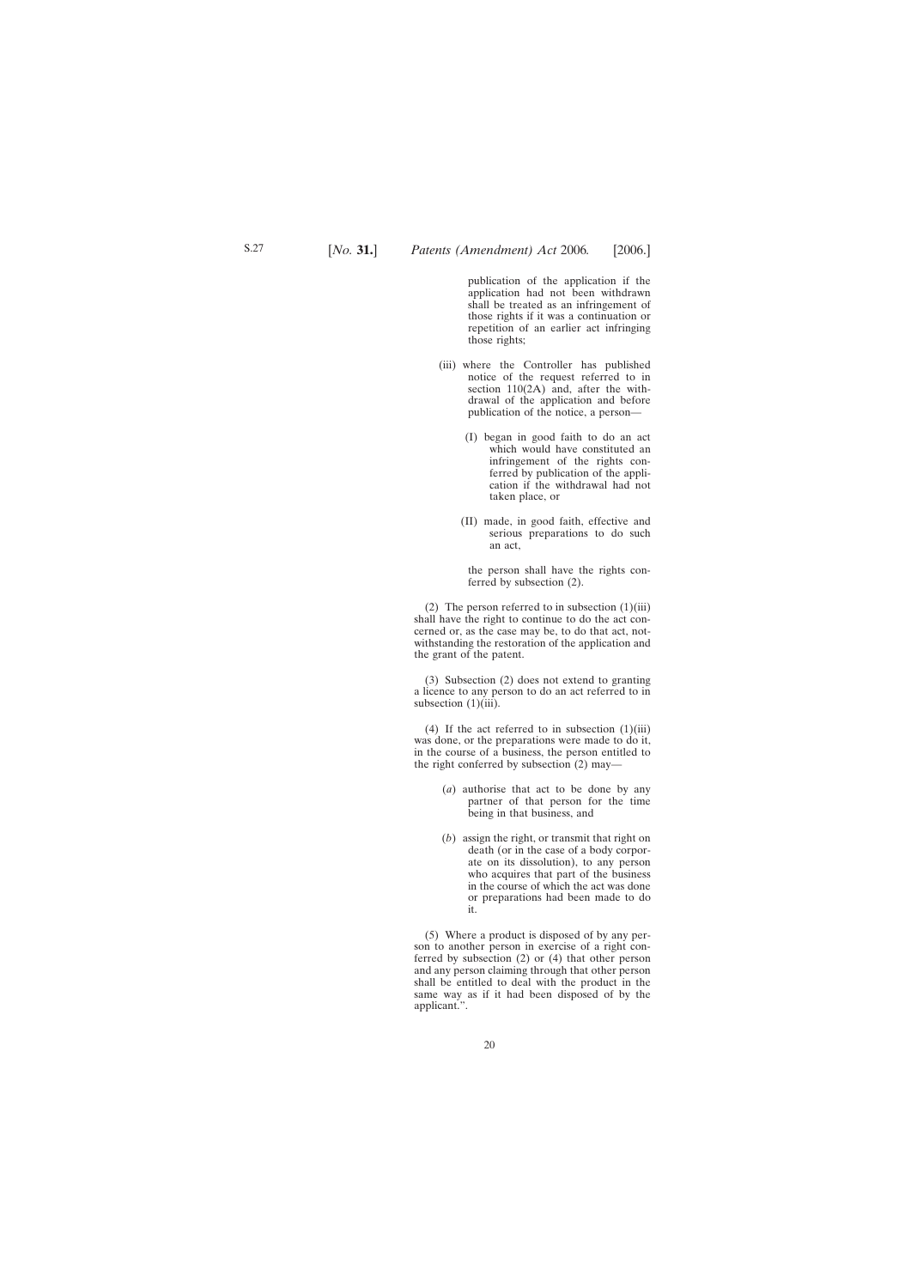publication of the application if the application had not been withdrawn shall be treated as an infringement of those rights if it was a continuation or repetition of an earlier act infringing those rights;

- (iii) where the Controller has published notice of the request referred to in section 110(2A) and, after the withdrawal of the application and before publication of the notice, a person—
	- (I) began in good faith to do an act which would have constituted an infringement of the rights conferred by publication of the application if the withdrawal had not taken place, or
	- (II) made, in good faith, effective and serious preparations to do such an act,

the person shall have the rights conferred by subsection (2).

(2) The person referred to in subsection  $(1)(iii)$ shall have the right to continue to do the act concerned or, as the case may be, to do that act, notwithstanding the restoration of the application and the grant of the patent.

(3) Subsection (2) does not extend to granting a licence to any person to do an act referred to in subsection  $(1)(iii)$ .

(4) If the act referred to in subsection  $(1)(iii)$ was done, or the preparations were made to do it, in the course of a business, the person entitled to the right conferred by subsection (2) may—

- (*a*) authorise that act to be done by any partner of that person for the time being in that business, and
- (*b*) assign the right, or transmit that right on death (or in the case of a body corporate on its dissolution), to any person who acquires that part of the business in the course of which the act was done or preparations had been made to do it.

(5) Where a product is disposed of by any person to another person in exercise of a right conferred by subsection (2) or (4) that other person and any person claiming through that other person shall be entitled to deal with the product in the same way as if it had been disposed of by the applicant.".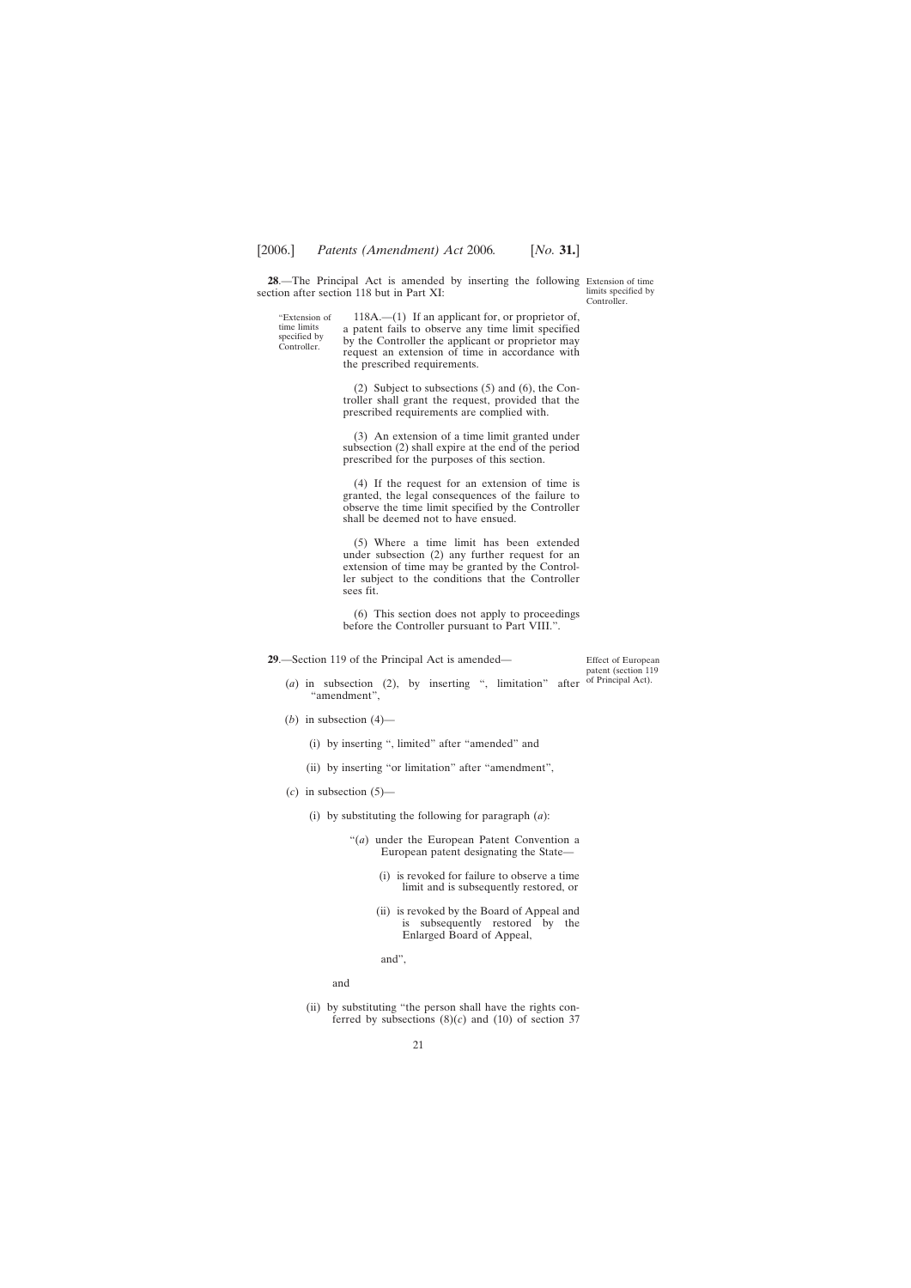<span id="page-20-0"></span>**28**.—The Principal Act is amended by inserting the following Extension of time section after section 118 but in Part XI:

"Extension of time limits specified by Controller.

118A.—(1) If an applicant for, or proprietor of, a patent fails to observe any time limit specified by the Controller the applicant or proprietor may request an extension of time in accordance with the prescribed requirements.

(2) Subject to subsections (5) and (6), the Controller shall grant the request, provided that the prescribed requirements are complied with.

(3) An extension of a time limit granted under subsection (2) shall expire at the end of the period prescribed for the purposes of this section.

(4) If the request for an extension of time is granted, the legal consequences of the failure to observe the time limit specified by the Controller shall be deemed not to have ensued.

(5) Where a time limit has been extended under subsection (2) any further request for an extension of time may be granted by the Controller subject to the conditions that the Controller sees fit.

(6) This section does not apply to proceedings before the Controller pursuant to Part VIII.".

**29**.—Section 119 of the Principal Act is amended—

- (*a*) in subsection (2), by inserting ", limitation" after "amendment",
- (*b*) in subsection  $(4)$ 
	- (i) by inserting ", limited" after "amended" and
	- (ii) by inserting "or limitation" after "amendment",
- $(c)$  in subsection  $(5)$ 
	- (i) by substituting the following for paragraph (*a*):
		- "(*a*) under the European Patent Convention a European patent designating the State—
			- (i) is revoked for failure to observe a time limit and is subsequently restored, or
			- (ii) is revoked by the Board of Appeal and is subsequently restored by the Enlarged Board of Appeal,

and",

and

(ii) by substituting "the person shall have the rights conferred by subsections  $(8)(c)$  and  $(10)$  of section 37

Effect of European patent (section 119 of Principal Act).

limits specified by Controller.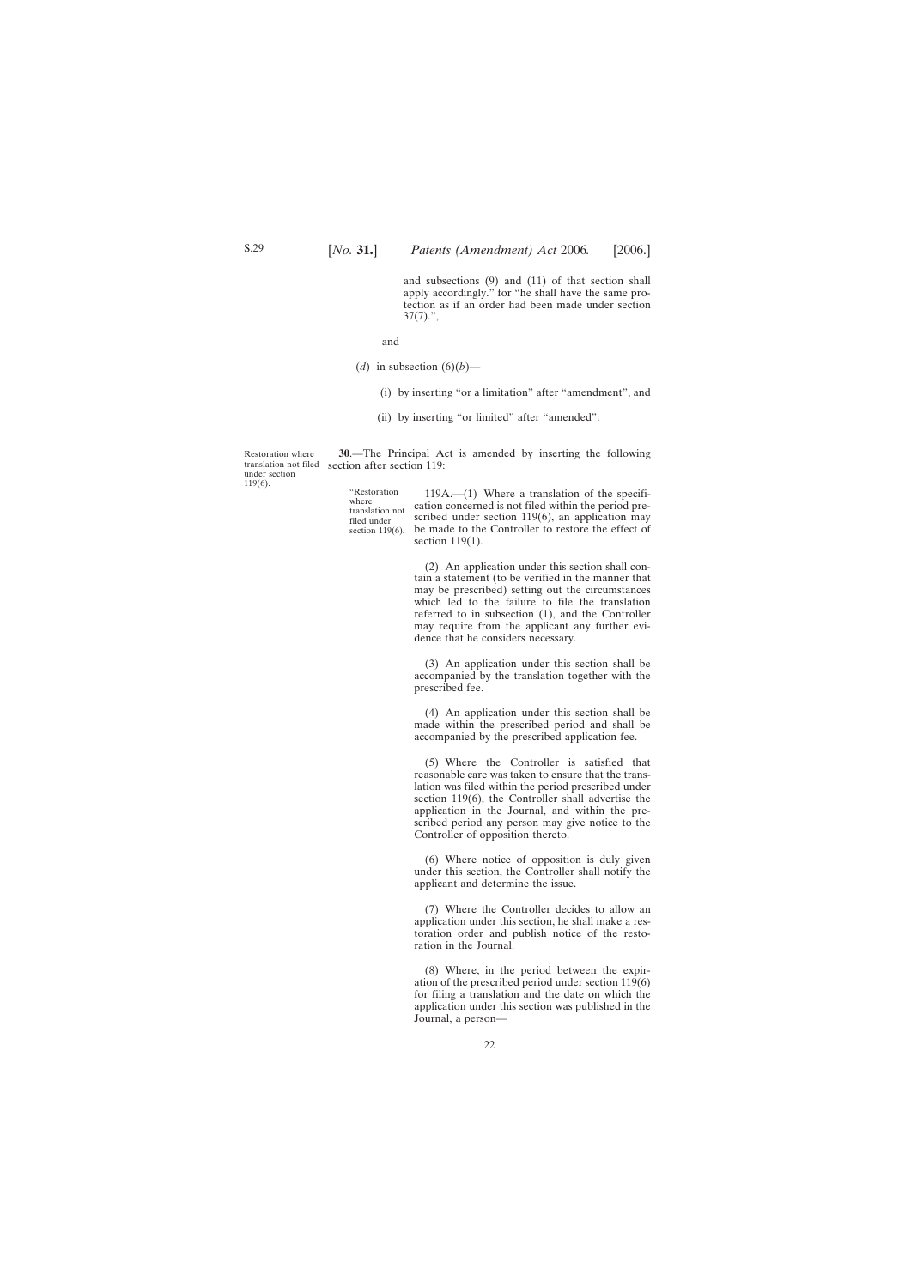and subsections (9) and (11) of that section shall apply accordingly." for "he shall have the same protection as if an order had been made under section  $37(7)$ .",

and

- <span id="page-21-0"></span>(*d*) in subsection  $(6)(b)$ —
	- (i) by inserting "or a limitation" after "amendment", and
	- (ii) by inserting "or limited" after "amended".

Restoration where translation not filed under section 119(6).

**30**.—The Principal Act is amended by inserting the following section after section 119:

"Restoration where translation not filed under section 119(6).

119A.—(1) Where a translation of the specification concerned is not filed within the period prescribed under section 119(6), an application may be made to the Controller to restore the effect of section 119(1).

(2) An application under this section shall contain a statement (to be verified in the manner that may be prescribed) setting out the circumstances which led to the failure to file the translation referred to in subsection (1), and the Controller may require from the applicant any further evidence that he considers necessary.

(3) An application under this section shall be accompanied by the translation together with the prescribed fee.

(4) An application under this section shall be made within the prescribed period and shall be accompanied by the prescribed application fee.

(5) Where the Controller is satisfied that reasonable care was taken to ensure that the translation was filed within the period prescribed under section 119(6), the Controller shall advertise the application in the Journal, and within the prescribed period any person may give notice to the Controller of opposition thereto.

(6) Where notice of opposition is duly given under this section, the Controller shall notify the applicant and determine the issue.

(7) Where the Controller decides to allow an application under this section, he shall make a restoration order and publish notice of the restoration in the Journal.

(8) Where, in the period between the expiration of the prescribed period under section 119(6) for filing a translation and the date on which the application under this section was published in the Journal, a person—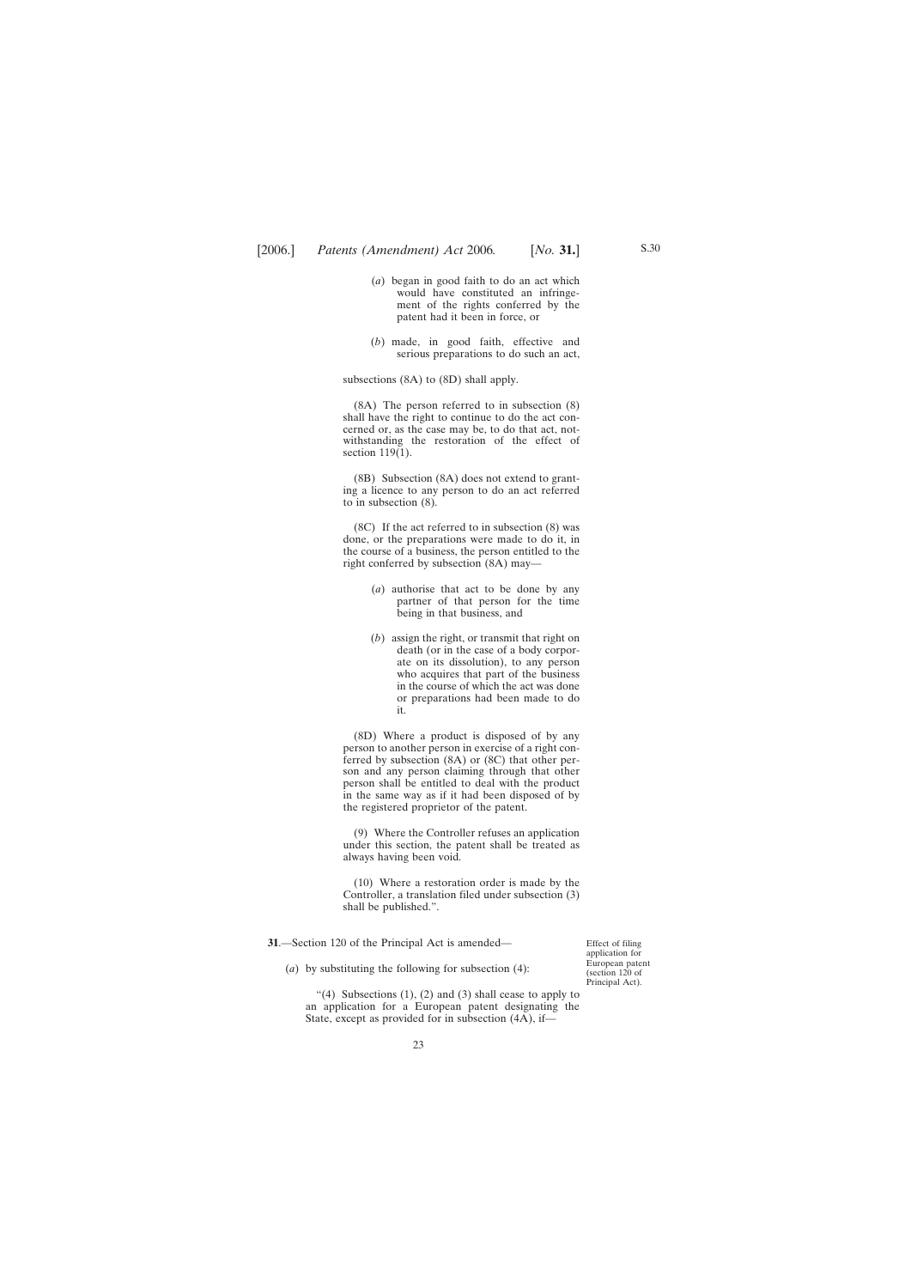- <span id="page-22-0"></span>(*a*) began in good faith to do an act which would have constituted an infringement of the rights conferred by the patent had it been in force, or
- (*b*) made, in good faith, effective and serious preparations to do such an act,

subsections (8A) to (8D) shall apply.

(8A) The person referred to in subsection (8) shall have the right to continue to do the act concerned or, as the case may be, to do that act, notwithstanding the restoration of the effect of section 119(1).

(8B) Subsection (8A) does not extend to granting a licence to any person to do an act referred to in subsection (8).

(8C) If the act referred to in subsection (8) was done, or the preparations were made to do it, in the course of a business, the person entitled to the right conferred by subsection (8A) may—

- (*a*) authorise that act to be done by any partner of that person for the time being in that business, and
- (*b*) assign the right, or transmit that right on death (or in the case of a body corporate on its dissolution), to any person who acquires that part of the business in the course of which the act was done or preparations had been made to do it.

(8D) Where a product is disposed of by any person to another person in exercise of a right conferred by subsection (8A) or (8C) that other person and any person claiming through that other person shall be entitled to deal with the product in the same way as if it had been disposed of by the registered proprietor of the patent.

(9) Where the Controller refuses an application under this section, the patent shall be treated as always having been void.

(10) Where a restoration order is made by the Controller, a translation filed under subsection (3) shall be published.".

**31**.—Section 120 of the Principal Act is amended—

Effect of filing application for European patent (section 120 of Principal Act).

(*a*) by substituting the following for subsection (4):

"(4) Subsections  $(1)$ ,  $(2)$  and  $(3)$  shall cease to apply to an application for a European patent designating the State, except as provided for in subsection (4A), if—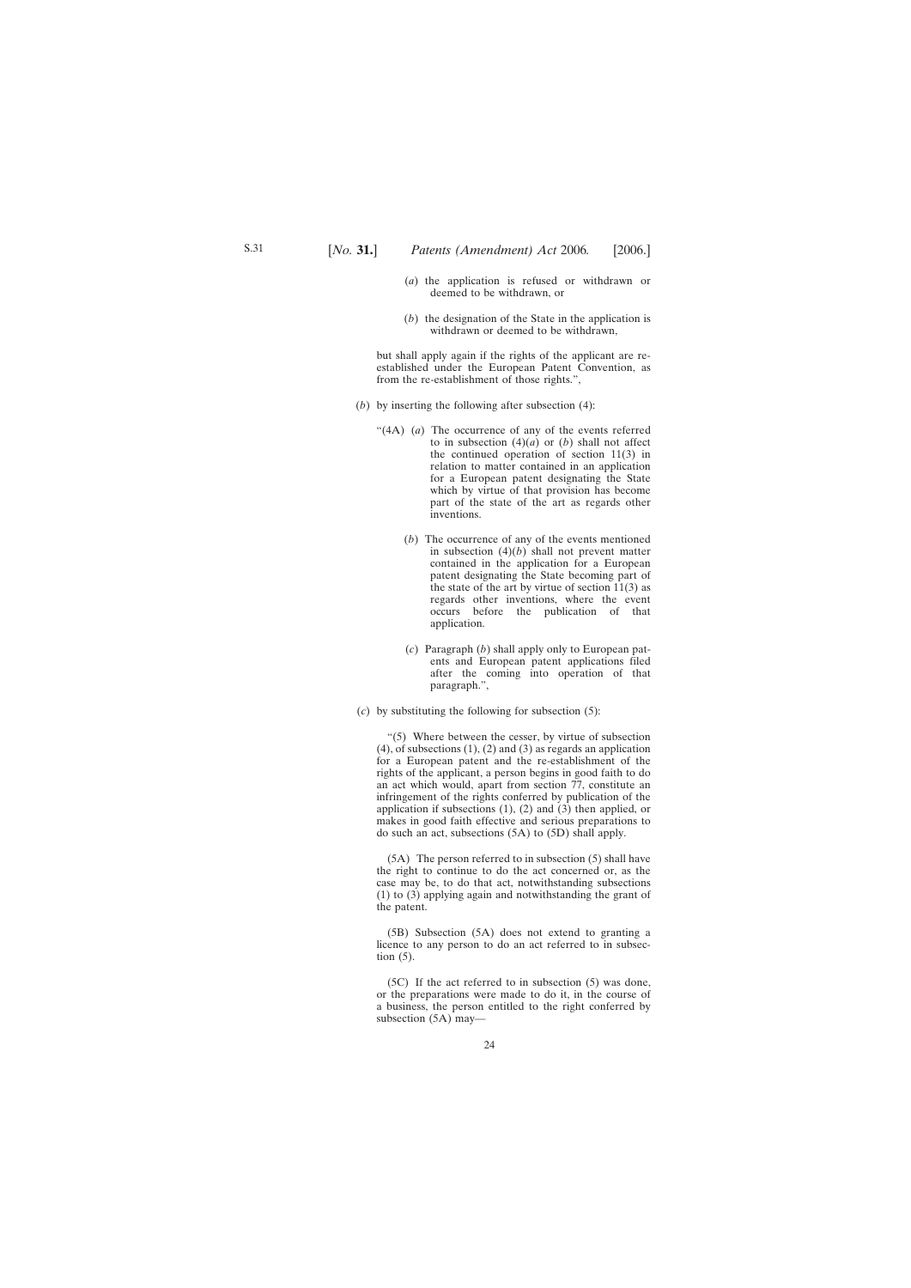- (*a*) the application is refused or withdrawn or deemed to be withdrawn, or
- (*b*) the designation of the State in the application is withdrawn or deemed to be withdrawn,

but shall apply again if the rights of the applicant are reestablished under the European Patent Convention, as from the re-establishment of those rights.",

- (*b*) by inserting the following after subsection (4):
	- "(4A) (*a*) The occurrence of any of the events referred to in subsection  $(4)(a)$  or  $(b)$  shall not affect the continued operation of section 11(3) in relation to matter contained in an application for a European patent designating the State which by virtue of that provision has become part of the state of the art as regards other inventions.
		- (*b*) The occurrence of any of the events mentioned in subsection (4)(*b*) shall not prevent matter contained in the application for a European patent designating the State becoming part of the state of the art by virtue of section  $11(3)$  as regards other inventions, where the event occurs before the publication of that application.
		- (*c*) Paragraph (*b*) shall apply only to European patents and European patent applications filed after the coming into operation of that paragraph.",
- (*c*) by substituting the following for subsection (5):

"(5) Where between the cesser, by virtue of subsection  $(4)$ , of subsections  $(1)$ ,  $(2)$  and  $(3)$  as regards an application for a European patent and the re-establishment of the rights of the applicant, a person begins in good faith to do an act which would, apart from section 77, constitute an infringement of the rights conferred by publication of the application if subsections  $(1)$ ,  $(2)$  and  $(3)$  then applied, or makes in good faith effective and serious preparations to do such an act, subsections (5A) to (5D) shall apply.

(5A) The person referred to in subsection (5) shall have the right to continue to do the act concerned or, as the case may be, to do that act, notwithstanding subsections (1) to (3) applying again and notwithstanding the grant of the patent.

(5B) Subsection (5A) does not extend to granting a licence to any person to do an act referred to in subsection (5).

(5C) If the act referred to in subsection (5) was done, or the preparations were made to do it, in the course of a business, the person entitled to the right conferred by subsection (5A) may—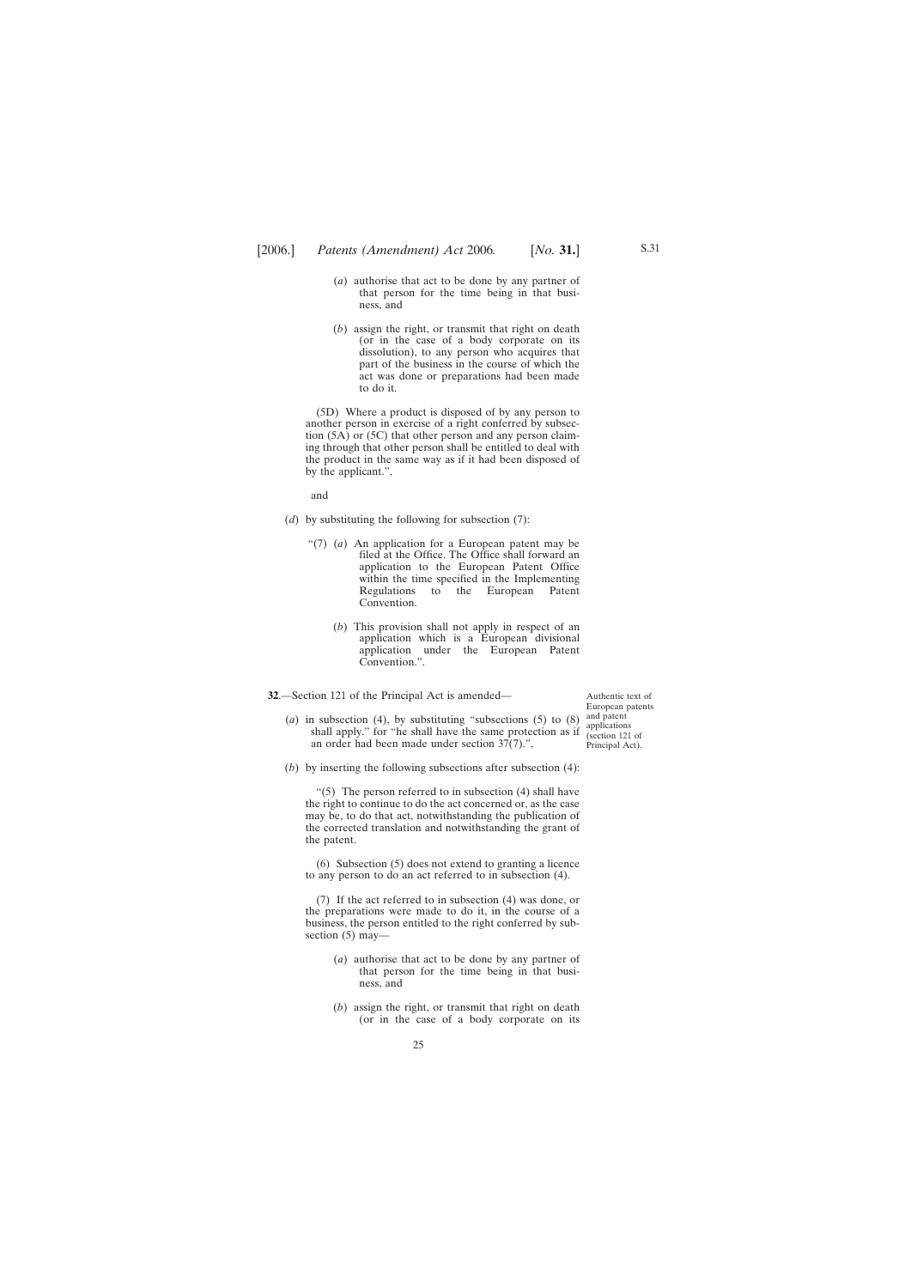- <span id="page-24-0"></span>(*a*) authorise that act to be done by any partner of that person for the time being in that business, and
- (*b*) assign the right, or transmit that right on death (or in the case of a body corporate on its dissolution), to any person who acquires that part of the business in the course of which the act was done or preparations had been made to do it.

(5D) Where a product is disposed of by any person to another person in exercise of a right conferred by subsection (5A) or (5C) that other person and any person claiming through that other person shall be entitled to deal with the product in the same way as if it had been disposed of by the applicant.",

and

- (*d*) by substituting the following for subsection (7):
	- "(7) (*a*) An application for a European patent may be filed at the Office. The Office shall forward an application to the European Patent Office within the time specified in the Implementing Regulations to the European Patent Convention.
		- (*b*) This provision shall not apply in respect of an application which is a European divisional application under the European Patent Convention.".
- **32**.—Section 121 of the Principal Act is amended—
	- (*a*) in subsection (4), by substituting "subsections (5) to (8) shall apply." for "he shall have the same protection as if an order had been made under section 37(7).",
	- (*b*) by inserting the following subsections after subsection (4):

" $(5)$  The person referred to in subsection  $(4)$  shall have the right to continue to do the act concerned or, as the case may be, to do that act, notwithstanding the publication of the corrected translation and notwithstanding the grant of the patent.

(6) Subsection (5) does not extend to granting a licence to any person to do an act referred to in subsection (4).

(7) If the act referred to in subsection (4) was done, or the preparations were made to do it, in the course of a business, the person entitled to the right conferred by subsection (5) may—

- (*a*) authorise that act to be done by any partner of that person for the time being in that business, and
- (*b*) assign the right, or transmit that right on death (or in the case of a body corporate on its

25

Authentic text of European patents and patent applications (section 121 of Principal Act).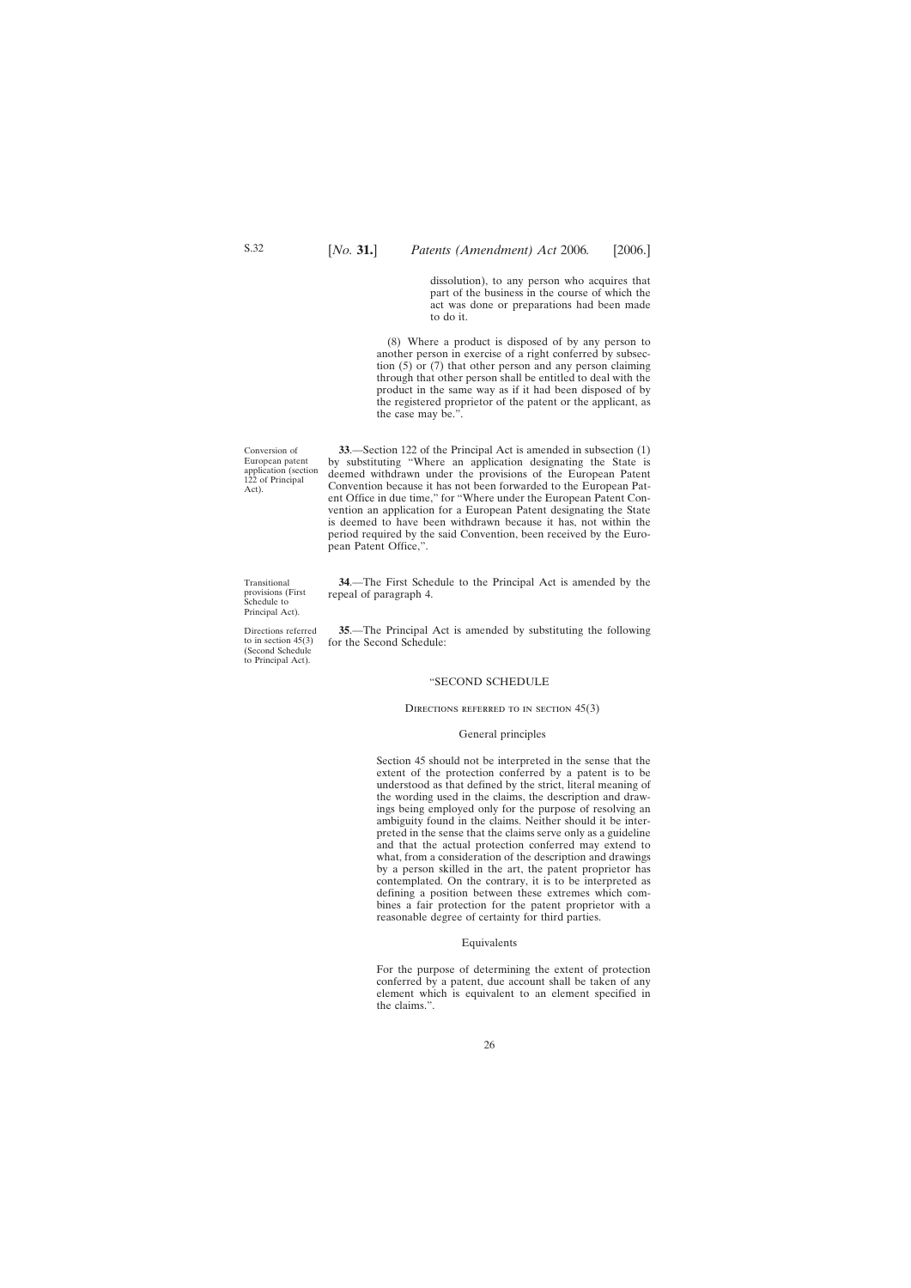dissolution), to any person who acquires that part of the business in the course of which the act was done or preparations had been made to do it.

<span id="page-25-0"></span>(8) Where a product is disposed of by any person to another person in exercise of a right conferred by subsection (5) or (7) that other person and any person claiming through that other person shall be entitled to deal with the product in the same way as if it had been disposed of by the registered proprietor of the patent or the applicant, as the case may be.".

**33**.—Section 122 of the Principal Act is amended in subsection (1) by substituting "Where an application designating the State is deemed withdrawn under the provisions of the European Patent Convention because it has not been forwarded to the European Patent Office in due time," for "Where under the European Patent Convention an application for a European Patent designating the State is deemed to have been withdrawn because it has, not within the period required by the said Convention, been received by the European Patent Office,".

**34**.—The First Schedule to the Principal Act is amended by the repeal of paragraph 4.

**35**.—The Principal Act is amended by substituting the following for the Second Schedule:

#### "SECOND SCHEDULE

#### DIRECTIONS REFERRED TO IN SECTION  $45(3)$

#### General principles

Section 45 should not be interpreted in the sense that the extent of the protection conferred by a patent is to be understood as that defined by the strict, literal meaning of the wording used in the claims, the description and drawings being employed only for the purpose of resolving an ambiguity found in the claims. Neither should it be interpreted in the sense that the claims serve only as a guideline and that the actual protection conferred may extend to what, from a consideration of the description and drawings by a person skilled in the art, the patent proprietor has contemplated. On the contrary, it is to be interpreted as defining a position between these extremes which combines a fair protection for the patent proprietor with a reasonable degree of certainty for third parties.

#### Equivalents

For the purpose of determining the extent of protection conferred by a patent, due account shall be taken of any element which is equivalent to an element specified in the claims.".

Conversion of European patent application (section 122 of Principal Act).

Transitional provisions (First Schedule to Principal Act).

Directions referred to in section  $45(3)$ (Second Schedule to Principal Act).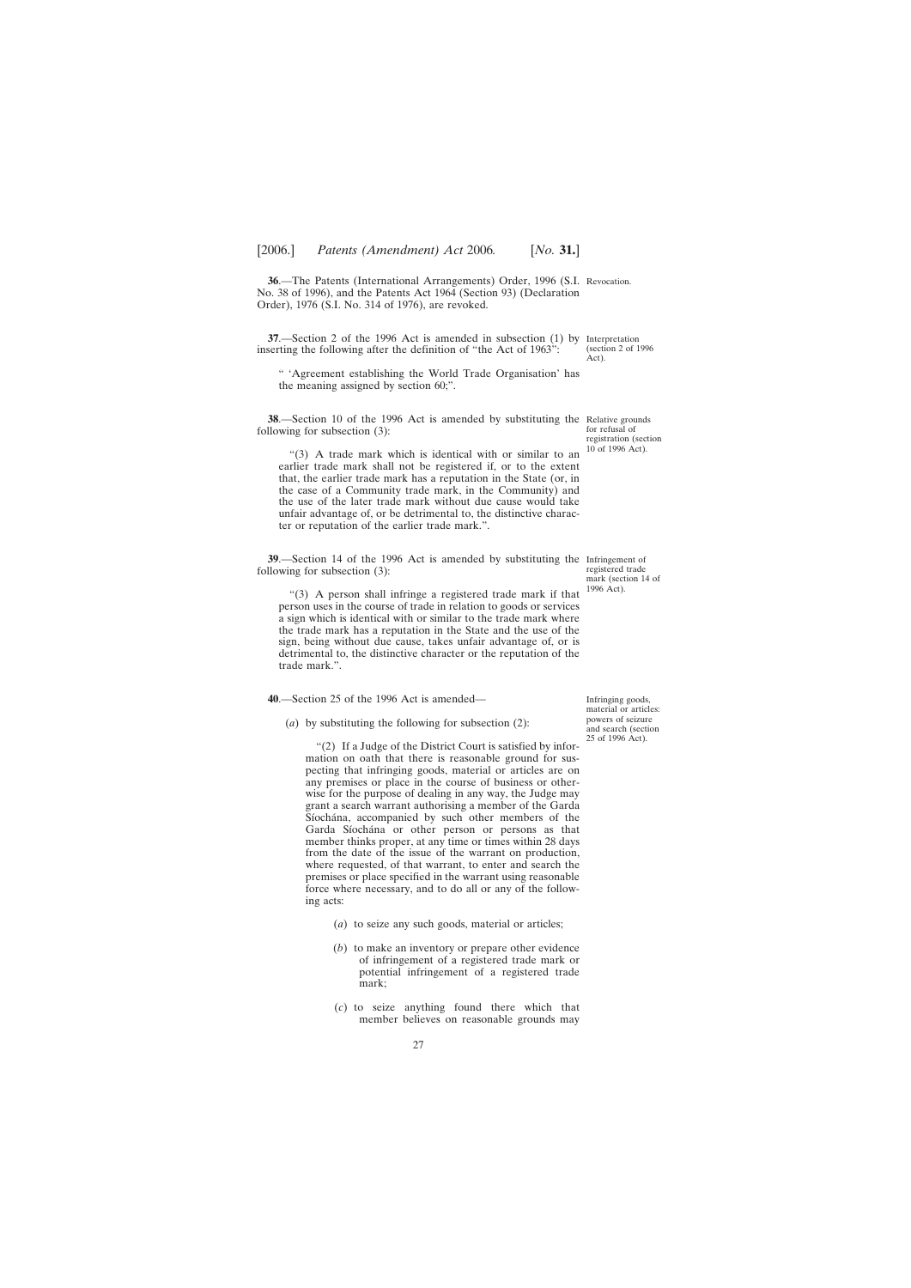<span id="page-26-0"></span>**36**.—The Patents (International Arrangements) Order, 1996 (S.I. Revocation. No. 38 of 1996), and the Patents Act 1964 (Section 93) (Declaration Order), 1976 (S.I. No. 314 of 1976), are revoked.

**37**.—Section 2 of the 1996 Act is amended in subsection (1) by Interpretation inserting the following after the definition of "the Act of 1963":

" 'Agreement establishing the World Trade Organisation' has the meaning assigned by section 60;".

**38**.—Section 10 of the 1996 Act is amended by substituting the Relative grounds following for subsection (3):

"(3) A trade mark which is identical with or similar to an earlier trade mark shall not be registered if, or to the extent that, the earlier trade mark has a reputation in the State (or, in the case of a Community trade mark, in the Community) and the use of the later trade mark without due cause would take unfair advantage of, or be detrimental to, the distinctive character or reputation of the earlier trade mark.".

**39**.—Section 14 of the 1996 Act is amended by substituting the Infringement of following for subsection (3):

"(3) A person shall infringe a registered trade mark if that person uses in the course of trade in relation to goods or services a sign which is identical with or similar to the trade mark where the trade mark has a reputation in the State and the use of the sign, being without due cause, takes unfair advantage of, or is detrimental to, the distinctive character or the reputation of the trade mark.".

**40**.—Section 25 of the 1996 Act is amended—

(*a*) by substituting the following for subsection (2):

"(2) If a Judge of the District Court is satisfied by information on oath that there is reasonable ground for suspecting that infringing goods, material or articles are on any premises or place in the course of business or otherwise for the purpose of dealing in any way, the Judge may grant a search warrant authorising a member of the Garda Síochána, accompanied by such other members of the Garda Síochána or other person or persons as that member thinks proper, at any time or times within 28 days from the date of the issue of the warrant on production, where requested, of that warrant, to enter and search the premises or place specified in the warrant using reasonable force where necessary, and to do all or any of the following acts:

- (*a*) to seize any such goods, material or articles;
- (*b*) to make an inventory or prepare other evidence of infringement of a registered trade mark or potential infringement of a registered trade mark;
- (*c*) to seize anything found there which that member believes on reasonable grounds may

(section 2 of 1996 Act).

for refusal of registration (section 10 of 1996 Act).

registered trade mark (section 14 of 1996 Act).

Infringing goods, material or articles: powers of seizure and search (section 25 of 1996 Act).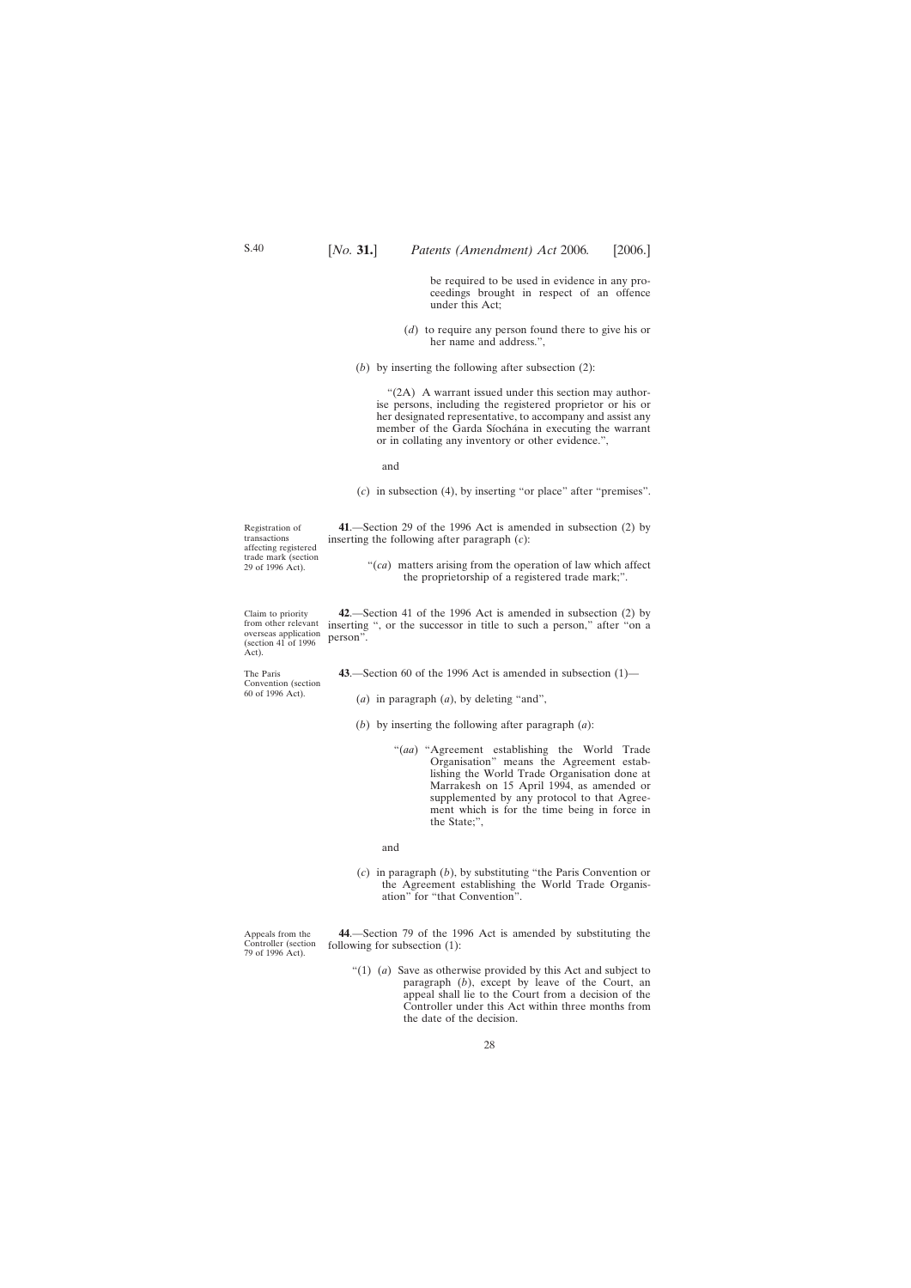be required to be used in evidence in any proceedings brought in respect of an offence under this Act;

- (*d*) to require any person found there to give his or her name and address.",
- <span id="page-27-0"></span>(*b*) by inserting the following after subsection (2):

"(2A) A warrant issued under this section may authorise persons, including the registered proprietor or his or her designated representative, to accompany and assist any member of the Garda Síochána in executing the warrant or in collating any inventory or other evidence.",

and

(*c*) in subsection (4), by inserting "or place" after "premises".

**41**.—Section 29 of the 1996 Act is amended in subsection (2) by inserting the following after paragraph (*c*):

> "(*ca*) matters arising from the operation of law which affect the proprietorship of a registered trade mark;".

**42**.—Section 41 of the 1996 Act is amended in subsection (2) by inserting ", or the successor in title to such a person," after "on a person".

**43**.—Section 60 of the 1996 Act is amended in subsection (1)—

- (*a*) in paragraph (*a*), by deleting "and",
- (*b*) by inserting the following after paragraph (*a*):
	- "(*aa*) "Agreement establishing the World Trade Organisation" means the Agreement establishing the World Trade Organisation done at Marrakesh on 15 April 1994, as amended or supplemented by any protocol to that Agreement which is for the time being in force in the State;",

#### and

(*c*) in paragraph (*b*), by substituting "the Paris Convention or the Agreement establishing the World Trade Organisation" for "that Convention".

**44**.—Section 79 of the 1996 Act is amended by substituting the following for subsection (1):

"(1) (*a*) Save as otherwise provided by this Act and subject to paragraph (*b*), except by leave of the Court, an appeal shall lie to the Court from a decision of the Controller under this Act within three months from the date of the decision.

Claim to priority

Registration of transactions affecting registered trade mark (section 29 of 1996 Act).

from other relevant overseas application (section 41 of 1996 Act).

The Paris Convention (section 60 of 1996 Act).

Appeals from the Controller (section 79 of 1996 Act).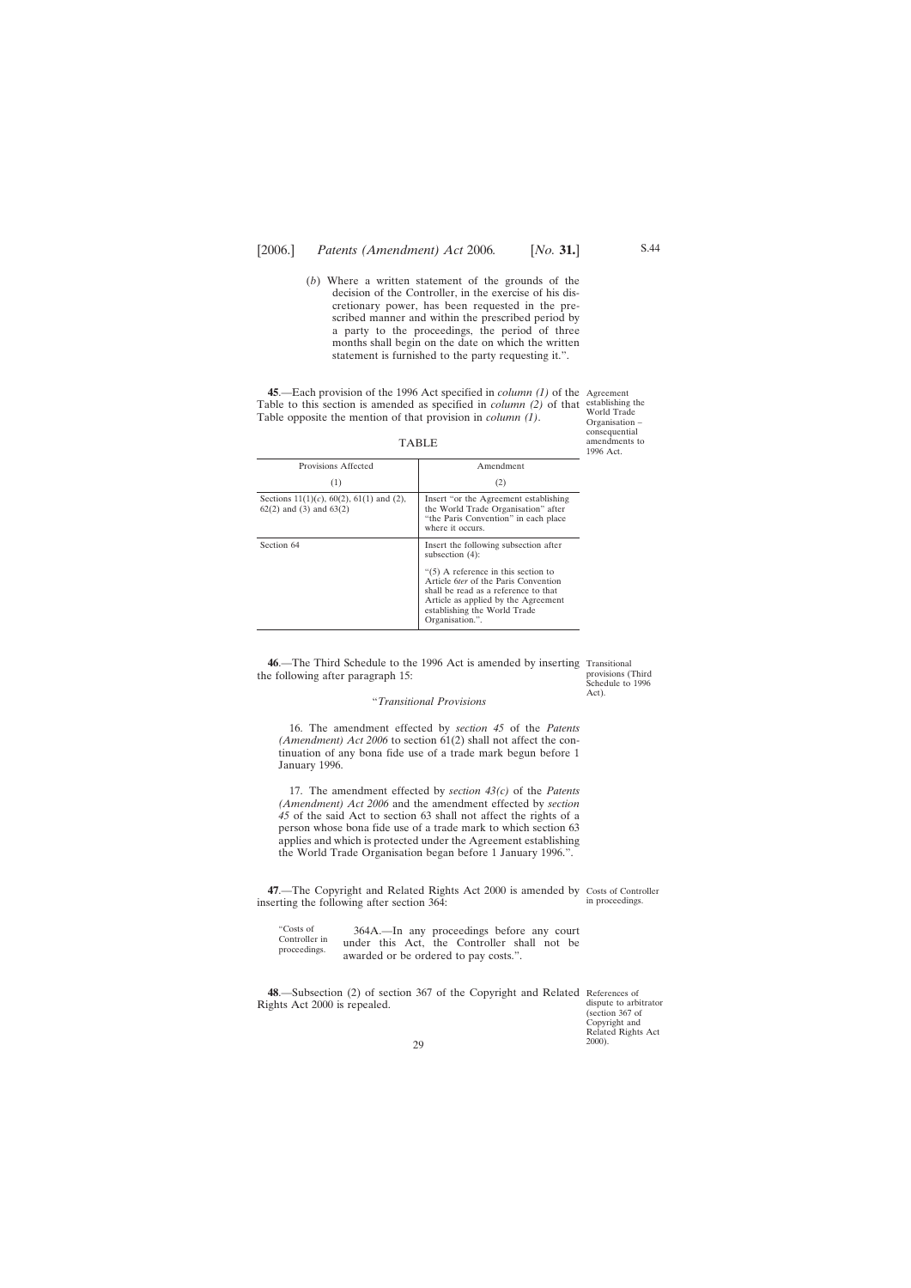<span id="page-28-0"></span>(*b*) Where a written statement of the grounds of the decision of the Controller, in the exercise of his discretionary power, has been requested in the prescribed manner and within the prescribed period by a party to the proceedings, the period of three months shall begin on the date on which the written statement is furnished to the party requesting it.".

**45**.—Each provision of the 1996 Act specified in *column (1)* of the Agreement Table to this section is amended as specified in *column (2)* of that Table opposite the mention of that provision in *column (1)*.

| Provisions Affected                                                               | Amendment                                                                                                                                                                                     |
|-----------------------------------------------------------------------------------|-----------------------------------------------------------------------------------------------------------------------------------------------------------------------------------------------|
| (1)                                                                               | (2)                                                                                                                                                                                           |
| Sections $11(1)(c)$ , $60(2)$ , $61(1)$ and (2),<br>$62(2)$ and $(3)$ and $63(2)$ | Insert "or the Agreement establishing"<br>the World Trade Organisation" after<br>"the Paris Convention" in each place<br>where it occurs.                                                     |
| Section 64                                                                        | Insert the following subsection after<br>subsection $(4)$ :<br>" $(5)$ A reference in this section to<br>Article <i>fiter</i> of the Paris Convention<br>shall be read as a reference to that |
|                                                                                   | Article as applied by the Agreement<br>establishing the World Trade<br>Organisation.".                                                                                                        |

TABLE

**46**.—The Third Schedule to the 1996 Act is amended by inserting Transitional the following after paragraph 15:

#### "*Transitional Provisions*

16. The amendment effected by *section 45* of the *Patents (Amendment) Act 2006* to section 61(2) shall not affect the continuation of any bona fide use of a trade mark begun before 1 January 1996.

17. The amendment effected by *section 43(c)* of the *Patents (Amendment) Act 2006* and the amendment effected by *section 45* of the said Act to section 63 shall not affect the rights of a person whose bona fide use of a trade mark to which section 63 applies and which is protected under the Agreement establishing the World Trade Organisation began before 1 January 1996.".

**47.**—The Copyright and Related Rights Act 2000 is amended by Costs of Controller inserting the following after section 364:

"Costs of Controller in proceedings. 364A.—In any proceedings before any court under this Act, the Controller shall not be awarded or be ordered to pay costs.".

**48**.—Subsection (2) of section 367 of the Copyright and Related References of Rights Act 2000 is repealed.

establishing the World Trade Organisation – consequential amendments to 1996 Act.

provisions (Third Schedule to 1996 Act).

in proceedings.